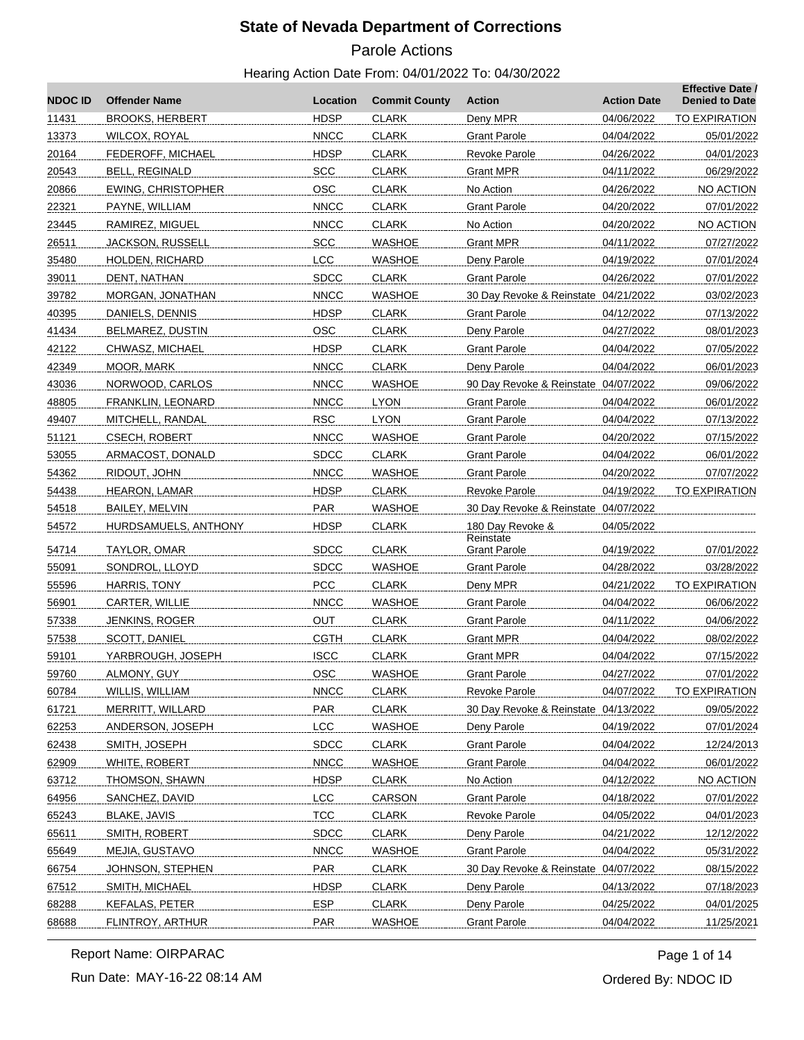# Parole Actions

#### Hearing Action Date From: 04/01/2022 To: 04/30/2022

| <b>NDOC ID</b> | <b>Offender Name</b>      | Location    | <b>Commit County</b> | <b>Action</b>                        | <b>Action Date</b> | <b>Effective Date /</b><br><b>Denied to Date</b> |
|----------------|---------------------------|-------------|----------------------|--------------------------------------|--------------------|--------------------------------------------------|
| 11431          | <b>BROOKS, HERBERT</b>    | <b>HDSP</b> | <b>CLARK</b>         | Deny MPR                             | 04/06/2022         | <b>TO EXPIRATION</b>                             |
| 13373          | WILCOX, ROYAL             | <b>NNCC</b> | <b>CLARK</b>         | <b>Grant Parole</b>                  | 04/04/2022         | 05/01/2022                                       |
| 20164          | <b>FEDEROFF, MICHAEL</b>  | <b>HDSP</b> | <b>CLARK</b>         | Revoke Parole                        | 04/26/2022         | 04/01/2023                                       |
| 20543          | <b>BELL, REGINALD</b>     | <b>SCC</b>  | <b>CLARK</b>         | Grant MPR                            | 04/11/2022         | 06/29/2022                                       |
| 20866          | <b>EWING, CHRISTOPHER</b> | <b>OSC</b>  | <b>CLARK</b>         | No Action                            | 04/26/2022         | NO ACTION                                        |
| 22321          | PAYNE, WILLIAM            | <b>NNCC</b> | <b>CLARK</b>         | <b>Grant Parole</b>                  | 04/20/2022         | 07/01/2022                                       |
| 23445          | RAMIREZ, MIGUEL           | <b>NNCC</b> | <b>CLARK</b>         | No Action                            | 04/20/2022         | NO ACTION                                        |
| 26511          | <b>JACKSON, RUSSELL</b>   | <b>SCC</b>  | WASHOE               | Grant MPR                            | 04/11/2022         | 07/27/2022                                       |
| 35480          | <b>HOLDEN, RICHARD</b>    | <b>LCC</b>  | <b>WASHOE</b>        | Deny Parole                          | 04/19/2022         | 07/01/2024                                       |
| 39011          | DENT, NATHAN              | <b>SDCC</b> | <b>CLARK</b>         | <b>Grant Parole</b>                  | 04/26/2022         | 07/01/2022                                       |
| 39782          | MORGAN, JONATHAN          | <b>NNCC</b> | WASHOE               | 30 Day Revoke & Reinstate 04/21/2022 |                    | 03/02/2023                                       |
| 40395          | DANIELS, DENNIS           | <b>HDSP</b> | <b>CLARK</b>         | Grant Parole                         | 04/12/2022         | 07/13/2022                                       |
| 41434          | BELMAREZ, DUSTIN          | <b>OSC</b>  | <b>CLARK</b>         | Deny Parole                          | 04/27/2022         | 08/01/2023                                       |
| 42122          | CHWASZ, MICHAEL           | <b>HDSP</b> | <b>CLARK</b>         | <b>Grant Parole</b>                  | 04/04/2022         | 07/05/2022                                       |
| 42349          | MOOR, MARK                | <b>NNCC</b> | <b>CLARK</b>         | Deny Parole                          | 04/04/2022         | 06/01/2023                                       |
| 43036          | NORWOOD, CARLOS           | <b>NNCC</b> | WASHOE               | 90 Day Revoke & Reinstate 04/07/2022 |                    | 09/06/2022                                       |
| 48805          | FRANKLIN, LEONARD         | <b>NNCC</b> | <b>LYON</b>          | <b>Grant Parole</b>                  | 04/04/2022         | 06/01/2022                                       |
| 49407          | MITCHELL, RANDAL          | <b>RSC</b>  | <b>LYON</b>          | <b>Grant Parole</b>                  | 04/04/2022         | 07/13/2022                                       |
| 51121          | <b>CSECH, ROBERT</b>      | <b>NNCC</b> | WASHOE               | Grant Parole                         | 04/20/2022         | 07/15/2022                                       |
| 53055          | ARMACOST, DONALD          | <b>SDCC</b> | <b>CLARK</b>         | Grant Parole                         | 04/04/2022         | 06/01/2022                                       |
| 54362          | RIDOUT, JOHN              | <b>NNCC</b> | <b>WASHOE</b>        | <b>Grant Parole</b>                  | 04/20/2022         | 07/07/2022                                       |
| 54438          | HEARON, LAMAR             | <b>HDSP</b> | <b>CLARK</b>         | <b>Revoke Parole</b>                 | 04/19/2022         | TO EXPIRATION                                    |
| 54518          | BAILEY, MELVIN            | <b>PAR</b>  | WASHOE               | 30 Day Revoke & Reinstate 04/07/2022 |                    |                                                  |
| 54572          | HURDSAMUELS, ANTHONY      | <b>HDSP</b> | <b>CLARK</b>         | 180 Day Revoke &<br>Reinstate        | 04/05/2022         |                                                  |
| 54714          | TAYLOR, OMAR              | <b>SDCC</b> | <b>CLARK</b>         | Grant Parole                         | 04/19/2022         | 07/01/2022                                       |
| 55091          | SONDROL, LLOYD            | <b>SDCC</b> | <b>WASHOE</b>        | <b>Grant Parole</b>                  | 04/28/2022         | 03/28/2022                                       |
| 55596          | HARRIS, TONY              | <b>PCC</b>  | <b>CLARK</b>         | Deny MPR                             | 04/21/2022         | TO EXPIRATION                                    |
| 56901          | CARTER, WILLIE            | <b>NNCC</b> | <b>WASHOE</b>        | Grant Parole                         | 04/04/2022         | 06/06/2022                                       |
| 57338          | <b>JENKINS, ROGER</b>     | OUT         | <b>CLARK</b>         | Grant Parole                         | 04/11/2022         | 04/06/2022                                       |
| 57538          | SCOTT, DANIEL             | <b>CGTH</b> | <b>CLARK</b>         | <b>Grant MPR</b>                     | 04/04/2022         | 08/02/2022                                       |
| 59101          | YARBROUGH, JOSEPH         | <b>ISCC</b> | <b>CLARK</b>         | <b>Grant MPR</b>                     | 04/04/2022         | 07/15/2022                                       |
| 29100          | ALMONY, GUY               | OSC         | <b>WASHOE</b>        | <b>Grant Parole</b>                  | 04/27/2022         | 07/01/2022                                       |
| 60784          | WILLIS, WILLIAM           | <b>NNCC</b> | <b>CLARK</b>         | Revoke Parole                        | 04/07/2022         | TO EXPIRATION                                    |
| 61721          | MERRITT, WILLARD          | <b>PAR</b>  | <b>CLARK</b>         | 30 Day Revoke & Reinstate 04/13/2022 |                    | 09/05/2022                                       |
| 62253          | ANDERSON, JOSEPH          | LCC         | <b>WASHOE</b>        | Deny Parole                          | 04/19/2022         | 07/01/2024                                       |
| 62438          | SMITH, JOSEPH             | <b>SDCC</b> | <b>CLARK</b>         | <b>Grant Parole</b>                  | 04/04/2022         | 12/24/2013                                       |
| 62909          | WHITE, ROBERT             | <b>NNCC</b> | <b>WASHOE</b>        | <b>Grant Parole</b>                  | 04/04/2022         | 06/01/2022                                       |
| 63712          | THOMSON, SHAWN            | <b>HDSP</b> | <b>CLARK</b>         | No Action                            | 04/12/2022         | <b>NO ACTION</b>                                 |
| 64956          | SANCHEZ, DAVID            | LCC         | CARSON               | <b>Grant Parole</b>                  | 04/18/2022         | 07/01/2022                                       |
| 65243          | <b>BLAKE, JAVIS</b>       | <b>TCC</b>  | <b>CLARK</b>         | <b>Revoke Parole</b>                 | 04/05/2022         | 04/01/2023                                       |
| 65611          | SMITH, ROBERT             | <b>SDCC</b> | <b>CLARK</b>         | Deny Parole                          | 04/21/2022         | 12/12/2022                                       |
| 65649          | MEJIA, GUSTAVO            | <b>NNCC</b> | <b>WASHOE</b>        | <b>Grant Parole</b>                  | 04/04/2022         | 05/31/2022                                       |
| 66754          | JOHNSON, STEPHEN          | PAR         | <b>CLARK</b>         | 30 Day Revoke & Reinstate 04/07/2022 |                    | 08/15/2022                                       |
| 67512          | SMITH, MICHAEL            | <b>HDSP</b> | <b>CLARK</b>         | Deny Parole                          | 04/13/2022         | 07/18/2023                                       |
| 68288          | <b>KEFALAS, PETER</b>     | <b>ESP</b>  | <b>CLARK</b>         | Deny Parole                          | 04/25/2022         | 04/01/2025                                       |
| 68688          | FLINTROY, ARTHUR          | <b>PAR</b>  | <b>WASHOE</b>        | <b>Grant Parole</b>                  | 04/04/2022         | 11/25/2021                                       |

Report Name: OIRPARAC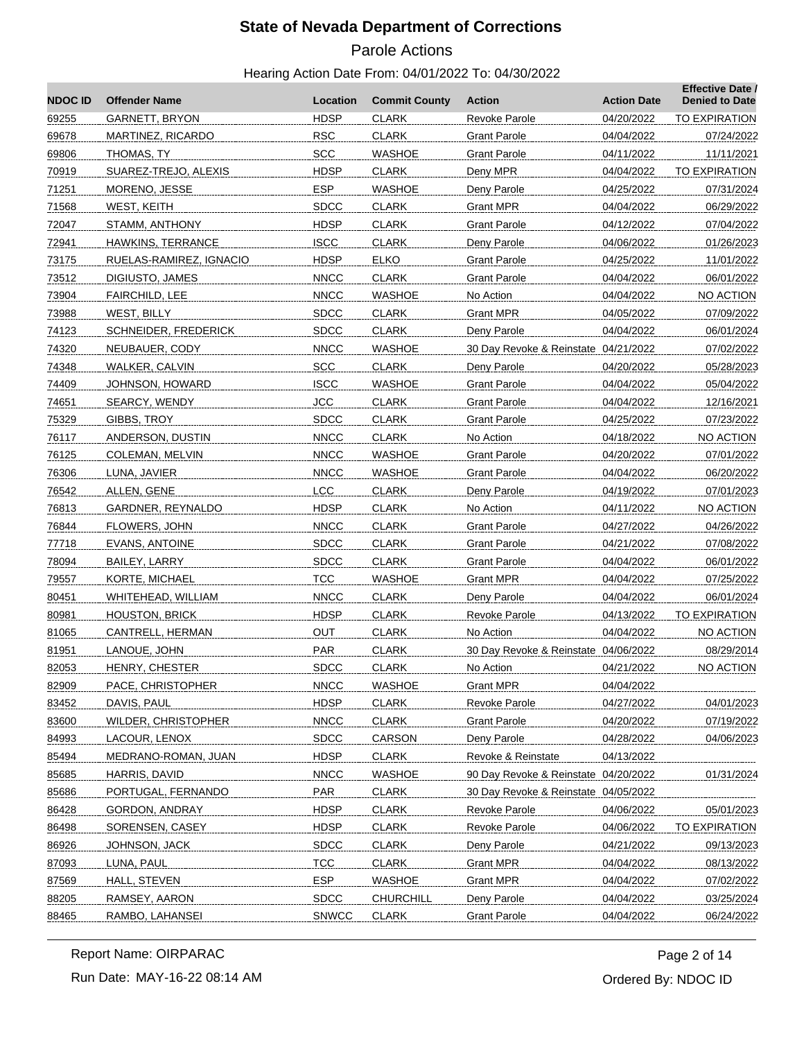# Parole Actions

#### Hearing Action Date From: 04/01/2022 To: 04/30/2022

| <b>NDOC ID</b> | <b>Offender Name</b>        | Location     | <b>Commit County</b> | Action                               | <b>Action Date</b> | <b>Effective Date /</b><br><b>Denied to Date</b> |
|----------------|-----------------------------|--------------|----------------------|--------------------------------------|--------------------|--------------------------------------------------|
| 69255          | <b>GARNETT, BRYON</b>       | <b>HDSP</b>  | <b>CLARK</b>         | <b>Revoke Parole</b>                 | 04/20/2022         | TO EXPIRATION                                    |
| 69678          | <b>MARTINEZ, RICARDO</b>    | <b>RSC</b>   | <b>CLARK</b>         | <b>Grant Parole</b>                  | 04/04/2022         | 07/24/2022                                       |
| 69806          | THOMAS, TY                  | SCC          | <b>WASHOE</b>        | Grant Parole                         | 04/11/2022         | 11/11/2021                                       |
| 70919          | SUAREZ-TREJO, ALEXIS        | <b>HDSP</b>  | <b>CLARK</b>         | Deny MPR                             | 04/04/2022         | TO EXPIRATION                                    |
| 71251          | MORENO, JESSE               | <b>ESP</b>   | <b>WASHOE</b>        | Deny Parole                          | 04/25/2022         | 07/31/2024                                       |
| 71568          | WEST, KEITH                 | <b>SDCC</b>  | <b>CLARK</b>         | Grant MPR                            | 04/04/2022         | 06/29/2022                                       |
| 72047          | STAMM, ANTHONY              | <b>HDSP</b>  | <b>CLARK</b>         | <b>Grant Parole</b>                  | 04/12/2022         | 07/04/2022                                       |
| 72941          | HAWKINS, TERRANCE           | <b>ISCC</b>  | <b>CLARK</b>         | Deny Parole                          | 04/06/2022         | 01/26/2023                                       |
| 73175          | RUELAS-RAMIREZ, IGNACIO     | <b>HDSP</b>  | <b>ELKO</b>          | <b>Grant Parole</b>                  | 04/25/2022         | 11/01/2022                                       |
| 73512          | DIGIUSTO, JAMES             | <b>NNCC</b>  | <b>CLARK</b>         | <b>Grant Parole</b>                  | 04/04/2022         | 06/01/2022                                       |
| 73904          | FAIRCHILD, LEE              | <b>NNCC</b>  | <b>WASHOE</b>        | No Action                            | 04/04/2022         | <b>NO ACTION</b>                                 |
| 73988          | WEST, BILLY                 | <b>SDCC</b>  | <b>CLARK</b>         | Grant MPR                            | 04/05/2022         | 07/09/2022                                       |
| 74123          | <b>SCHNEIDER, FREDERICK</b> | <b>SDCC</b>  | <b>CLARK</b>         | Deny Parole                          | 04/04/2022         | 06/01/2024                                       |
| 74320          | NEUBAUER, CODY              | <b>NNCC</b>  | <b>WASHOE</b>        | 30 Day Revoke & Reinstate 04/21/2022 |                    | 07/02/2022                                       |
| 74348          | WALKER, CALVIN              | <b>SCC</b>   | <b>CLARK</b>         | Deny Parole                          | 04/20/2022         | 05/28/2023                                       |
| 74409          | JOHNSON, HOWARD             | <b>ISCC</b>  | WASHOE               | Grant Parole                         | 04/04/2022         | 05/04/2022                                       |
| 74651          | SEARCY, WENDY               | <b>JCC</b>   | <b>CLARK</b>         | <b>Grant Parole</b>                  | 04/04/2022         | 12/16/2021                                       |
| 75329          | GIBBS, TROY                 | <b>SDCC</b>  | <b>CLARK</b>         | <b>Grant Parole</b>                  | 04/25/2022         | 07/23/2022                                       |
| 76117          | ANDERSON, DUSTIN            | <b>NNCC</b>  | <b>CLARK</b>         | No Action                            | 04/18/2022         | NO ACTION                                        |
| 76125          | COLEMAN, MELVIN             | <b>NNCC</b>  | WASHOE               | Grant Parole                         | 04/20/2022         | 07/01/2022                                       |
| 76306          | LUNA, JAVIER                | <b>NNCC</b>  | WASHOE               | Grant Parole                         | 04/04/2022         | 06/20/2022                                       |
| 76542          | ALLEN, GENE                 | <b>LCC</b>   | <b>CLARK</b>         | Deny Parole                          | 04/19/2022         | 07/01/2023                                       |
| 76813          | GARDNER, REYNALDO           | <b>HDSP</b>  | <b>CLARK</b>         | No Action                            | 04/11/2022         | NO ACTION                                        |
| 76844          | FLOWERS, JOHN               | <b>NNCC</b>  | <b>CLARK</b>         | Grant Parole                         | 04/27/2022         | 04/26/2022                                       |
| 77718          | <b>EVANS, ANTOINE</b>       | <b>SDCC</b>  | <b>CLARK</b>         | <b>Grant Parole</b>                  | 04/21/2022         | 07/08/2022                                       |
| 78094          | BAILEY, LARRY               | <b>SDCC</b>  | <b>CLARK</b>         | <b>Grant Parole</b>                  | 04/04/2022         | 06/01/2022                                       |
| 79557          | KORTE, MICHAEL              | <b>TCC</b>   | <b>WASHOE</b>        | <b>Grant MPR</b>                     | 04/04/2022         | 07/25/2022                                       |
| 80451          | WHITEHEAD, WILLIAM          | <b>NNCC</b>  | <b>CLARK</b>         | Deny Parole                          | 04/04/2022         | 06/01/2024                                       |
| 80981          | <b>HOUSTON, BRICK</b>       | <b>HDSP</b>  | <b>CLARK</b>         | Revoke Parole                        | 04/13/2022         | <b>TO EXPIRATION</b>                             |
| 81065          | CANTRELL, HERMAN            | OUT          | <b>CLARK</b>         | No Action                            | 04/04/2022         | NO ACTION                                        |
| 81951          | LANOUE, JOHN                | <b>PAR</b>   | <b>CLARK</b>         | 30 Day Revoke & Reinstate 04/06/2022 |                    | 08/29/2014                                       |
| 82053          | HENRY, CHESTER              | <b>SDCC</b>  | <b>CLARK</b>         | No Action                            | 04/21/2022         | NO ACTION                                        |
| 82909          | PACE, CHRISTOPHER           | <b>NNCC</b>  | <b>WASHOE</b>        | <b>Grant MPR</b>                     | 04/04/2022         |                                                  |
| 83452          | DAVIS, PAUL                 | <b>HDSP</b>  | <b>CLARK</b>         | <b>Revoke Parole</b>                 | 04/27/2022         | 04/01/2023                                       |
| 83600          | WILDER, CHRISTOPHER         | <b>NNCC</b>  | <b>CLARK</b>         | <b>Grant Parole</b>                  | 04/20/2022         | 07/19/2022                                       |
| 84993          | LACOUR, LENOX               | <b>SDCC</b>  | <b>CARSON</b>        | Deny Parole                          | 04/28/2022         | 04/06/2023                                       |
| 85494          | MEDRANO-ROMAN, JUAN         | <b>HDSP</b>  | <b>CLARK</b>         | Revoke & Reinstate                   | 04/13/2022         |                                                  |
| 85685          | HARRIS, DAVID               | <b>NNCC</b>  | <b>WASHOE</b>        | 90 Day Revoke & Reinstate 04/20/2022 |                    | 01/31/2024                                       |
| 85686          | PORTUGAL, FERNANDO          | <b>PAR</b>   | <b>CLARK</b>         | 30 Day Revoke & Reinstate 04/05/2022 |                    |                                                  |
| 86428          | GORDON, ANDRAY              | <b>HDSP</b>  | <b>CLARK</b>         | Revoke Parole                        | 04/06/2022         | 05/01/2023                                       |
| 86498          | SORENSEN, CASEY             | <b>HDSP</b>  | <b>CLARK</b>         | <b>Revoke Parole</b>                 | 04/06/2022         | <b>TO EXPIRATION</b>                             |
| 86926          | JOHNSON, JACK               | <b>SDCC</b>  | <b>CLARK</b>         | Deny Parole                          | 04/21/2022         | 09/13/2023                                       |
| 87093          | LUNA, PAUL                  | <b>TCC</b>   | <b>CLARK</b>         | <b>Grant MPR</b>                     | 04/04/2022         | 08/13/2022                                       |
| 87569          | HALL, STEVEN                | <b>ESP</b>   | <b>WASHOE</b>        | <b>Grant MPR</b>                     | 04/04/2022         | 07/02/2022                                       |
| 88205          | RAMSEY, AARON               | <b>SDCC</b>  | <b>CHURCHILL</b>     | Deny Parole                          | 04/04/2022         | 03/25/2024                                       |
| 88465          | RAMBO, LAHANSEI             | <b>SNWCC</b> | <b>CLARK</b>         | <b>Grant Parole</b>                  | 04/04/2022         | 06/24/2022                                       |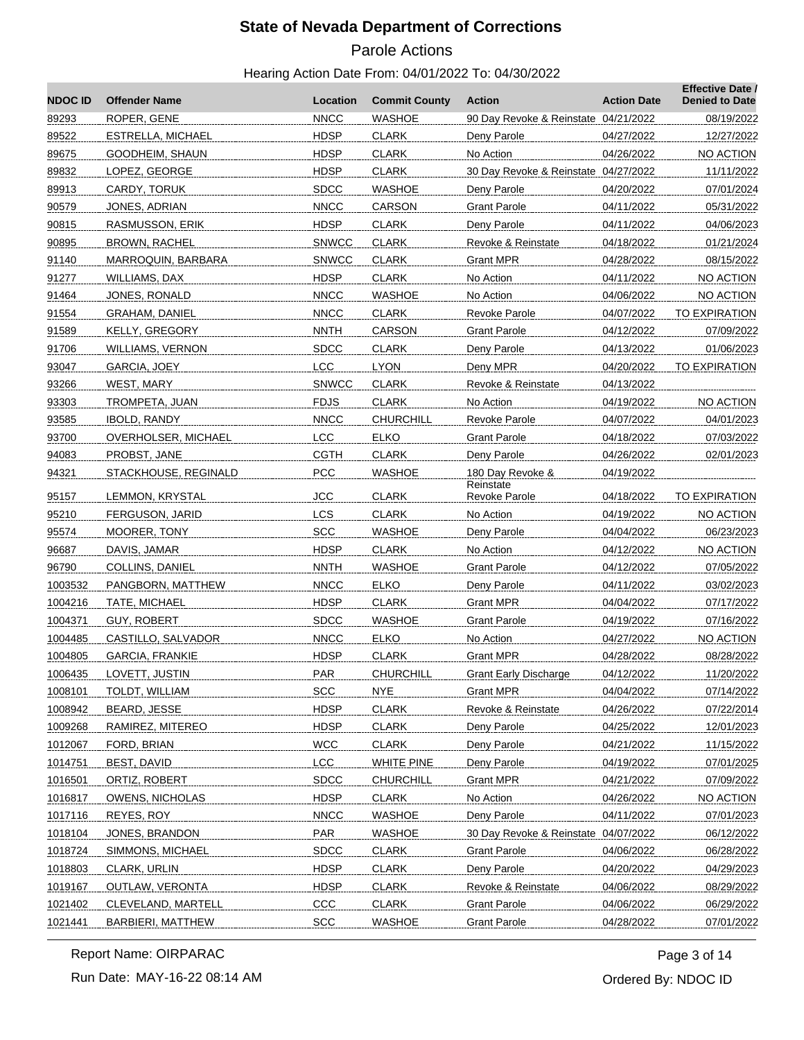# Parole Actions

#### Hearing Action Date From: 04/01/2022 To: 04/30/2022

| <b>NDOCID</b>    | <b>Offender Name</b>       | Location     | <b>Commit County</b> | <b>Action</b>                        | <b>Action Date</b> | <b>Effective Date /</b><br><b>Denied to Date</b> |
|------------------|----------------------------|--------------|----------------------|--------------------------------------|--------------------|--------------------------------------------------|
| 89293            | ROPER, GENE                | <b>NNCC</b>  | <b>WASHOE</b>        | 90 Day Revoke & Reinstate            | 04/21/2022         | 08/19/2022                                       |
| 89522            | ESTRELLA, MICHAEL          | <b>HDSP</b>  | <b>CLARK</b>         | Deny Parole                          | 04/27/2022         | 12/27/2022                                       |
| 89675            | GOODHEIM, SHAUN            | <b>HDSP</b>  | <b>CLARK</b>         | No Action                            | 04/26/2022         | NO ACTION                                        |
| 89832            | LOPEZ, GEORGE              | <b>HDSP</b>  | <b>CLARK</b>         | 30 Day Revoke & Reinstate 04/27/2022 |                    | 11/11/2022                                       |
| 89913            | CARDY, TORUK               | <b>SDCC</b>  | <b>WASHOE</b>        | Deny Parole                          | 04/20/2022         | 07/01/2024                                       |
| 90579            | JONES, ADRIAN              | <b>NNCC</b>  | CARSON               | <b>Grant Parole</b>                  | 04/11/2022         | 05/31/2022                                       |
| 90815            | RASMUSSON, ERIK            | <b>HDSP</b>  | <b>CLARK</b>         | Deny Parole                          | 04/11/2022         | 04/06/2023                                       |
| 90895            | <b>BROWN, RACHEL</b>       | <b>SNWCC</b> | <b>CLARK</b>         | Revoke & Reinstate                   | 04/18/2022         | 01/21/2024                                       |
| 91140            | MARROQUIN, BARBARA         | <b>SNWCC</b> | <b>CLARK</b>         | <b>Grant MPR</b>                     | 04/28/2022         | 08/15/2022                                       |
| 91277            | WILLIAMS, DAX              | <b>HDSP</b>  | <b>CLARK</b>         | No Action                            | 04/11/2022         | NO ACTION                                        |
| 91464            | JONES, RONALD              | <b>NNCC</b>  | <b>WASHOE</b>        | No Action                            | 04/06/2022         | NO ACTION                                        |
| 91554            | GRAHAM, DANIEL             | <b>NNCC</b>  | <b>CLARK</b>         | Revoke Parole                        | 04/07/2022         | TO EXPIRATION                                    |
| 91589            | <b>KELLY, GREGORY</b>      | <b>NNTH</b>  | <b>CARSON</b>        | <b>Grant Parole</b>                  | 04/12/2022         | 07/09/2022                                       |
| 91706            | WILLIAMS, VERNON           | <b>SDCC</b>  | <b>CLARK</b>         | Deny Parole                          | 04/13/2022         | 01/06/2023                                       |
| 93047            | GARCIA, JOEY               | LCC          | <b>LYON</b>          | Deny MPR                             | 04/20/2022         | <b>TO EXPIRATION</b>                             |
| 93266            | WEST, MARY                 | <b>SNWCC</b> | <b>CLARK</b>         | Revoke & Reinstate                   | 04/13/2022         |                                                  |
| 93303            | TROMPETA, JUAN             | <b>FDJS</b>  | <b>CLARK</b>         | No Action                            | 04/19/2022         | NO ACTION                                        |
| 93585            | <b>IBOLD, RANDY</b>        | <b>NNCC</b>  | <b>CHURCHILL</b>     | Revoke Parole                        | 04/07/2022         | 04/01/2023                                       |
| 93700            | <b>OVERHOLSER, MICHAEL</b> | LCC          | <b>ELKO</b>          | <b>Grant Parole</b>                  | 04/18/2022         | 07/03/2022                                       |
| 94083            | PROBST, JANE               | <b>CGTH</b>  | <b>CLARK</b>         | Deny Parole                          | 04/26/2022         | 02/01/2023                                       |
| 94321            | STACKHOUSE, REGINALD       | <b>PCC</b>   | <b>WASHOE</b>        | 180 Day Revoke &<br>Reinstate        | 04/19/2022         |                                                  |
| 95157            | LEMMON, KRYSTAL            | <b>JCC</b>   | <b>CLARK</b>         | Revoke Parole                        | 04/18/2022         | TO EXPIRATION                                    |
| 95210            | FERGUSON, JARID            | LCS          | <b>CLARK</b>         | No Action                            | 04/19/2022         | NO ACTION                                        |
| 95574            | MOORER, TONY               | SCC          | <b>WASHOE</b>        | Deny Parole                          | 04/04/2022         | 06/23/2023                                       |
| 96687            | DAVIS, JAMAR               | <b>HDSP</b>  | <b>CLARK</b>         | No Action                            | 04/12/2022         | NO ACTION                                        |
| 96790            | COLLINS, DANIEL            | <b>NNTH</b>  | <b>WASHOE</b>        | <b>Grant Parole</b>                  | 04/12/2022         | 07/05/2022                                       |
| 1003532          | PANGBORN, MATTHEW          | <b>NNCC</b>  | <b>ELKO</b>          | Deny Parole                          | 04/11/2022         | 03/02/2023                                       |
| 1004216          | TATE, MICHAEL              | <b>HDSP</b>  | <b>CLARK</b>         | <b>Grant MPR</b>                     | 04/04/2022         | 07/17/2022                                       |
| 1004371          | GUY, ROBERT                | <b>SDCC</b>  | <b>WASHOE</b>        | <b>Grant Parole</b>                  | 04/19/2022         | 07/16/2022                                       |
| 1004485          | CASTILLO, SALVADOR         | <b>NNCC</b>  | <b>ELKO</b>          | No Action                            | 04/27/2022         | NO ACTION                                        |
| 1004805          | <b>GARCIA, FRANKIE</b>     | <b>HDSP</b>  | <b>CLARK</b>         | <b>Grant MPR</b>                     | 04/28/2022         | 08/28/2022                                       |
| <u> 1006435 </u> | LOVETT, JUSTIN             | PAR          | <u>CHURCHILL</u>     | Grant Early Discharge                | 04/12/2022         | 11/20/2022                                       |
| 1008101          | TOLDT, WILLIAM             | <b>SCC</b>   | <b>NYE</b>           | <b>Grant MPR</b>                     | 04/04/2022         | 07/14/2022                                       |
| 1008942          | <b>BEARD, JESSE</b>        | <b>HDSP</b>  | <b>CLARK</b>         | Revoke & Reinstate                   | 04/26/2022         | 07/22/2014                                       |
| 1009268          | RAMIREZ, MITEREO           | <b>HDSP</b>  | <b>CLARK</b>         | Deny Parole                          | 04/25/2022         | 12/01/2023                                       |
| 1012067          | FORD, BRIAN                | <b>WCC</b>   | <b>CLARK</b>         | Deny Parole                          | 04/21/2022         | 11/15/2022                                       |
| 1014751          | BEST, DAVID                | LCC          | <b>WHITE PINE</b>    | Deny Parole                          | 04/19/2022         | 07/01/2025                                       |
| 1016501          | ORTIZ, ROBERT              | <b>SDCC</b>  | <b>CHURCHILL</b>     | <b>Grant MPR</b>                     | 04/21/2022         | 07/09/2022                                       |
| 1016817          | <b>OWENS, NICHOLAS</b>     | <b>HDSP</b>  | <b>CLARK</b>         | No Action                            | 04/26/2022         | NO ACTION                                        |
| 1017116          | REYES, ROY                 | <b>NNCC</b>  | <b>WASHOE</b>        | Deny Parole                          | 04/11/2022         | 07/01/2023                                       |
| 1018104          | <b>JONES, BRANDON</b>      | <b>PAR</b>   | <b>WASHOE</b>        | 30 Day Revoke & Reinstate 04/07/2022 |                    | 06/12/2022                                       |
| 1018724          | SIMMONS, MICHAEL           | <b>SDCC</b>  | <b>CLARK</b>         | <b>Grant Parole</b>                  | 04/06/2022         | 06/28/2022                                       |
| 1018803          | <b>CLARK, URLIN</b>        | <b>HDSP</b>  | <b>CLARK</b>         | Deny Parole                          | 04/20/2022         | 04/29/2023                                       |
| 1019167          | OUTLAW, VERONTA            | <b>HDSP</b>  | <b>CLARK</b>         | Revoke & Reinstate                   | 04/06/2022         | 08/29/2022                                       |
| 1021402          | CLEVELAND, MARTELL         | CCC          | <b>CLARK</b>         | <b>Grant Parole</b>                  | 04/06/2022         | 06/29/2022                                       |
| 1021441          | <b>BARBIERI, MATTHEW</b>   | <b>SCC</b>   | <b>WASHOE</b>        | <b>Grant Parole</b>                  | 04/28/2022         | 07/01/2022                                       |
|                  |                            |              |                      |                                      |                    |                                                  |

Report Name: OIRPARAC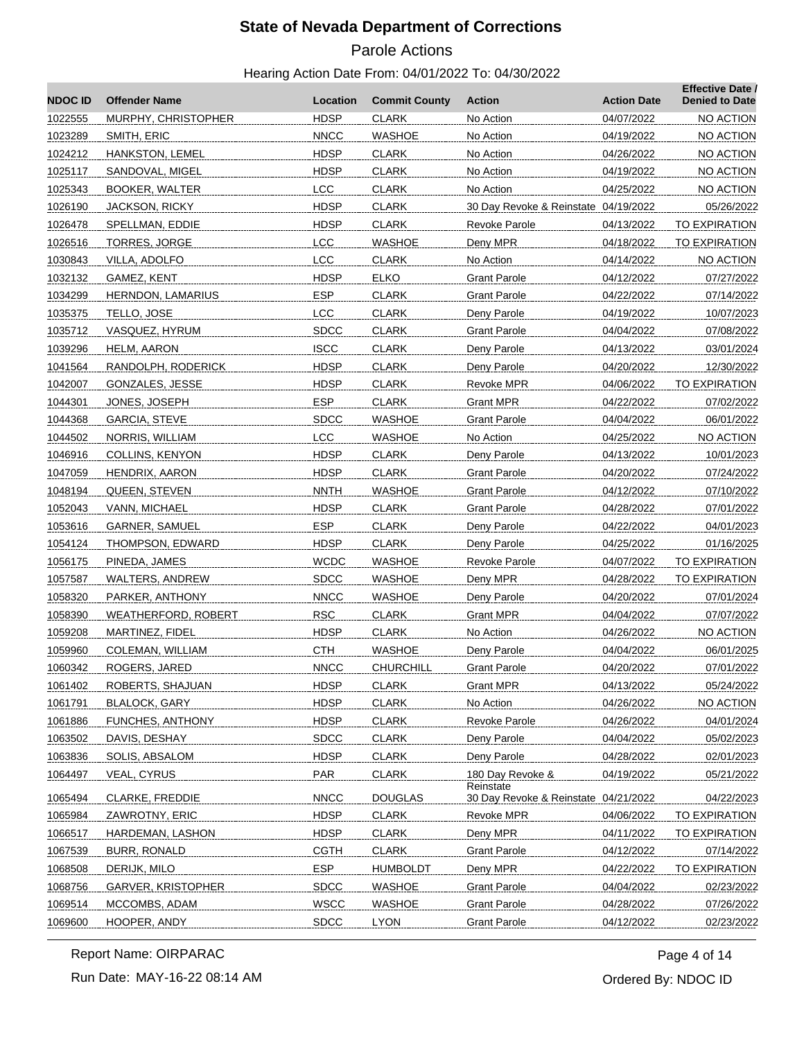# Parole Actions

#### Hearing Action Date From: 04/01/2022 To: 04/30/2022

| <b>NDOCID</b> | <b>Offender Name</b>       | Location    | <b>Commit County</b> | <b>Action</b>                        | <b>Action Date</b> | <b>Effective Date /</b><br><b>Denied to Date</b> |
|---------------|----------------------------|-------------|----------------------|--------------------------------------|--------------------|--------------------------------------------------|
| 1022555       | MURPHY, CHRISTOPHER        | <b>HDSP</b> | <b>CLARK</b>         | No Action                            | 04/07/2022         | NO ACTION                                        |
| 1023289       | SMITH, ERIC                | <b>NNCC</b> | <b>WASHOE</b>        | No Action                            | 04/19/2022         | NO ACTION                                        |
| 1024212       | HANKSTON, LEMEL            | <b>HDSP</b> | <b>CLARK</b>         | No Action                            | 04/26/2022         | NO ACTION                                        |
| 1025117       | SANDOVAL, MIGEL            | <b>HDSP</b> | <b>CLARK</b>         | No Action                            | 04/19/2022         | NO ACTION                                        |
| 1025343       | <b>BOOKER, WALTER</b>      | <b>LCC</b>  | <b>CLARK</b>         | No Action                            | 04/25/2022         | NO ACTION                                        |
| 1026190       | <b>JACKSON, RICKY</b>      | <b>HDSP</b> | <b>CLARK</b>         | 30 Day Revoke & Reinstate 04/19/2022 |                    | 05/26/2022                                       |
| 1026478       | SPELLMAN, EDDIE            | <b>HDSP</b> | <b>CLARK</b>         | Revoke Parole                        | 04/13/2022         | TO EXPIRATION                                    |
| 1026516       | <b>TORRES, JORGE</b>       | LCC         | <b>WASHOE</b>        | Deny MPR                             | 04/18/2022         | TO EXPIRATION                                    |
| 1030843       | VILLA, ADOLFO              | LCC         | <b>CLARK</b>         | No Action                            | 04/14/2022         | NO ACTION                                        |
| 1032132       | GAMEZ, KENT                | <b>HDSP</b> | <b>ELKO</b>          | <b>Grant Parole</b>                  | 04/12/2022         | 07/27/2022                                       |
| 1034299       | HERNDON, LAMARIUS          | <b>ESP</b>  | <b>CLARK</b>         | <b>Grant Parole</b>                  | 04/22/2022         | 07/14/2022                                       |
| 1035375       | TELLO, JOSE                | <b>LCC</b>  | <b>CLARK</b>         | Deny Parole                          | 04/19/2022         | 10/07/2023                                       |
| 1035712       | VASQUEZ, HYRUM             | <b>SDCC</b> | <b>CLARK</b>         | <b>Grant Parole</b>                  | 04/04/2022         | 07/08/2022                                       |
| 1039296       | <b>HELM, AARON</b>         | <b>ISCC</b> | <b>CLARK</b>         | Deny Parole                          | 04/13/2022         | 03/01/2024                                       |
| 1041564       | RANDOLPH, RODERICK         | <b>HDSP</b> | <b>CLARK</b>         | Deny Parole                          | 04/20/2022         | 12/30/2022                                       |
| 1042007       | GONZALES, JESSE            | <b>HDSP</b> | <b>CLARK</b>         | Revoke MPR                           | 04/06/2022         | <b>TO EXPIRATION</b>                             |
| 1044301       | JONES, JOSEPH              | <b>ESP</b>  | <b>CLARK</b>         | Grant MPR                            | 04/22/2022         | 07/02/2022                                       |
| 1044368       | <b>GARCIA, STEVE</b>       | <b>SDCC</b> | <b>WASHOE</b>        | <b>Grant Parole</b>                  | 04/04/2022         | 06/01/2022                                       |
| 1044502       | NORRIS, WILLIAM            | <b>LCC</b>  | <b>WASHOE</b>        | No Action                            | 04/25/2022         | NO ACTION                                        |
| 1046916       | COLLINS, KENYON            | <b>HDSP</b> | <b>CLARK</b>         | Deny Parole                          | 04/13/2022         | 10/01/2023                                       |
| 1047059       | HENDRIX, AARON             | <b>HDSP</b> | <b>CLARK</b>         | <b>Grant Parole</b>                  | 04/20/2022         | 07/24/2022                                       |
| 1048194       | QUEEN, STEVEN              | <b>NNTH</b> | <b>WASHOE</b>        | <b>Grant Parole</b>                  | 04/12/2022         | 07/10/2022                                       |
| 1052043       | VANN, MICHAEL              | <b>HDSP</b> | <b>CLARK</b>         | Grant Parole                         | 04/28/2022         | 07/01/2022                                       |
| 1053616       | <b>GARNER, SAMUEL</b>      | <b>ESP</b>  | <b>CLARK</b>         | Deny Parole                          | 04/22/2022         | 04/01/2023                                       |
| 1054124       | THOMPSON, EDWARD           | <b>HDSP</b> | <b>CLARK</b>         | Deny Parole                          | 04/25/2022         | 01/16/2025                                       |
| 1056175       | PINEDA, JAMES              | <b>WCDC</b> | <b>WASHOE</b>        | <b>Revoke Parole</b>                 | 04/07/2022         | TO EXPIRATION                                    |
| 1057587       | WALTERS, ANDREW            | <b>SDCC</b> | <b>WASHOE</b>        | Deny MPR                             | 04/28/2022         | TO EXPIRATION                                    |
| 1058320       | PARKER, ANTHONY            | <b>NNCC</b> | WASHOE               | Deny Parole                          | 04/20/2022         | 07/01/2024                                       |
| 1058390       | <b>WEATHERFORD, ROBERT</b> | <b>RSC</b>  | <b>CLARK</b>         | <b>Grant MPR</b>                     | 04/04/2022         | 07/07/2022                                       |
| 1059208       | MARTINEZ, FIDEL            | <b>HDSP</b> | <b>CLARK</b>         | No Action                            | 04/26/2022         | NO ACTION                                        |
| 1059960       | COLEMAN, WILLIAM           | <b>CTH</b>  | <b>WASHOE</b>        | Deny Parole                          | 04/04/2022         | 06/01/2025                                       |
| 1060342       | ROGERS, JARED              | <b>NNCC</b> | CHURCHILL            | <b>Grant Parole</b>                  | 04/20/2022         | 07/01/2022                                       |
| 1061402       | ROBERTS, SHAJUAN           | <b>HDSP</b> | <b>CLARK</b>         | <b>Grant MPR</b>                     | 04/13/2022         | 05/24/2022                                       |
| 1061791       | <b>BLALOCK, GARY</b>       | <b>HDSP</b> | <b>CLARK</b>         | No Action                            | 04/26/2022         | NO ACTION                                        |
| 1061886       | <b>FUNCHES, ANTHONY</b>    | <b>HDSP</b> | <b>CLARK</b>         | <b>Revoke Parole</b>                 | 04/26/2022         | 04/01/2024                                       |
| 1063502       | DAVIS, DESHAY              | <b>SDCC</b> | <b>CLARK</b>         | Deny Parole                          | 04/04/2022         | 05/02/2023                                       |
| 1063836       | SOLIS, ABSALOM             | <b>HDSP</b> | <b>CLARK</b>         | Deny Parole                          | 04/28/2022         | 02/01/2023                                       |
| 1064497       | <b>VEAL, CYRUS</b>         | PAR         | <b>CLARK</b>         | 180 Day Revoke &<br>Reinstate        | 04/19/2022         | 05/21/2022                                       |
| 1065494       | <b>CLARKE, FREDDIE</b>     | <b>NNCC</b> | <b>DOUGLAS</b>       | 30 Day Revoke & Reinstate 04/21/2022 |                    | 04/22/2023                                       |
| 1065984       | ZAWROTNY, ERIC             | <b>HDSP</b> | <b>CLARK</b>         | <b>Revoke MPR</b>                    | 04/06/2022         | TO EXPIRATION                                    |
| 1066517       | HARDEMAN, LASHON           | <b>HDSP</b> | <b>CLARK</b>         | Deny MPR                             | 04/11/2022         | TO EXPIRATION                                    |
| 1067539       | BURR, RONALD               | <b>CGTH</b> | <b>CLARK</b>         | <b>Grant Parole</b>                  | 04/12/2022         | 07/14/2022                                       |
| 1068508       | DERIJK, MILO               | <b>ESP</b>  | <b>HUMBOLDT</b>      | Deny MPR                             | 04/22/2022         | <b>TO EXPIRATION</b>                             |
| 1068756       | <b>GARVER, KRISTOPHER</b>  | <b>SDCC</b> | <b>WASHOE</b>        | Grant Parole                         | 04/04/2022         | 02/23/2022                                       |
| 1069514       | MCCOMBS, ADAM              | <b>WSCC</b> | <b>WASHOE</b>        | <b>Grant Parole</b>                  | 04/28/2022         | 07/26/2022                                       |
| 1069600       | HOOPER, ANDY               | <b>SDCC</b> | <b>LYON</b>          | <b>Grant Parole</b>                  | 04/12/2022         | 02/23/2022                                       |

Report Name: OIRPARAC

Run Date: MAY-16-22 08:14 AM

Ordered By: NDOC ID Page 4 of 14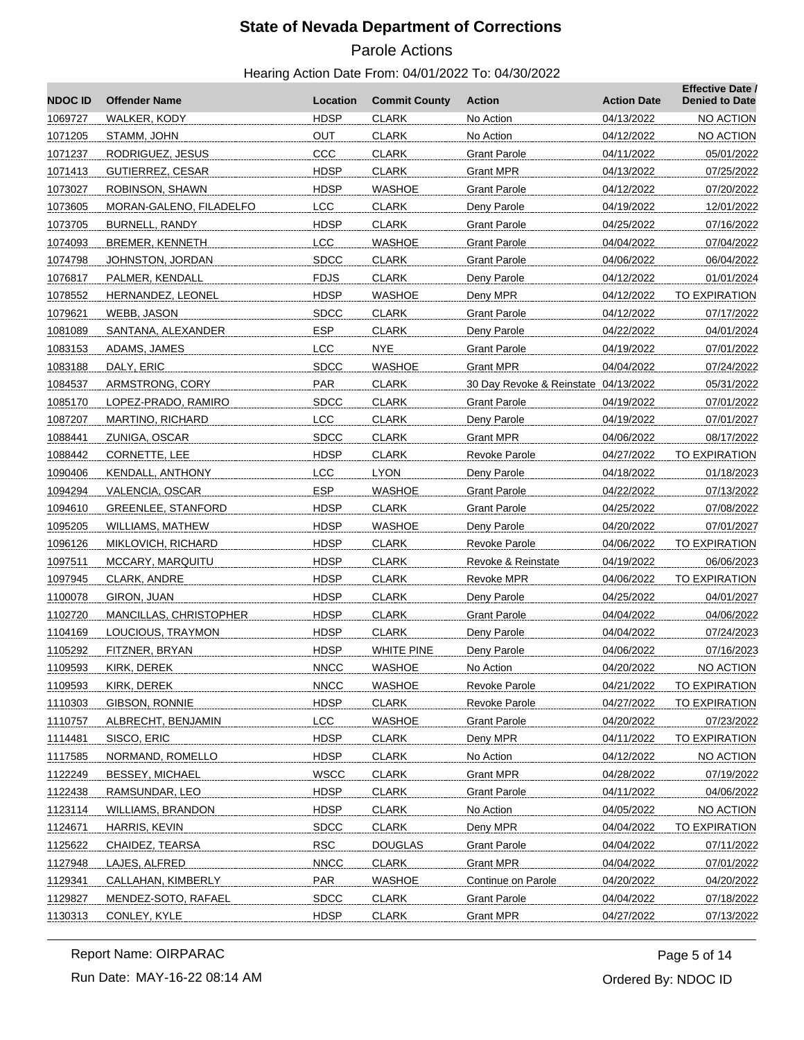# Parole Actions

#### Hearing Action Date From: 04/01/2022 To: 04/30/2022

| <b>NDOCID</b> | <b>Offender Name</b>      | Location    | <b>Commit County</b> | <b>Action</b>                        | <b>Action Date</b> | <b>Effective Date /</b><br><b>Denied to Date</b> |
|---------------|---------------------------|-------------|----------------------|--------------------------------------|--------------------|--------------------------------------------------|
| 1069727       | WALKER, KODY              | <b>HDSP</b> | <b>CLARK</b>         | No Action                            | 04/13/2022         | NO ACTION                                        |
| 1071205       | STAMM, JOHN               | OUT         | <b>CLARK</b>         | No Action                            | 04/12/2022         | NO ACTION                                        |
| 1071237       | RODRIGUEZ, JESUS          | CCC         | <b>CLARK</b>         | <b>Grant Parole</b>                  | 04/11/2022         | 05/01/2022                                       |
| 1071413       | GUTIERREZ, CESAR          | <b>HDSP</b> | <b>CLARK</b>         | Grant MPR                            | 04/13/2022         | 07/25/2022                                       |
| 1073027       | ROBINSON, SHAWN           | <b>HDSP</b> | WASHOE               | <b>Grant Parole</b>                  | 04/12/2022         | 07/20/2022                                       |
| 1073605       | MORAN-GALENO, FILADELFO   | <b>LCC</b>  | <b>CLARK</b>         | Deny Parole                          | 04/19/2022         | 12/01/2022                                       |
| 1073705       | <b>BURNELL, RANDY</b>     | <b>HDSP</b> | <b>CLARK</b>         | <b>Grant Parole</b>                  | 04/25/2022         | 07/16/2022                                       |
| 1074093       | <b>BREMER, KENNETH</b>    | <b>LCC</b>  | WASHOE               | <b>Grant Parole</b>                  | 04/04/2022         | 07/04/2022                                       |
| 1074798       | JOHNSTON, JORDAN          | <b>SDCC</b> | <b>CLARK</b>         | <b>Grant Parole</b>                  | 04/06/2022         | 06/04/2022                                       |
| 1076817       | PALMER, KENDALL           | <b>FDJS</b> | <b>CLARK</b>         | Deny Parole                          | 04/12/2022         | 01/01/2024                                       |
| 1078552       | HERNANDEZ, LEONEL         | <b>HDSP</b> | <b>WASHOE</b>        | Deny MPR                             | 04/12/2022         | TO EXPIRATION                                    |
| 1079621       | WEBB, JASON               | <b>SDCC</b> | <b>CLARK</b>         | <b>Grant Parole</b>                  | 04/12/2022         | 07/17/2022                                       |
| 1081089       | SANTANA, ALEXANDER        | <b>ESP</b>  | <b>CLARK</b>         | Deny Parole                          | 04/22/2022         | 04/01/2024                                       |
| 1083153       | ADAMS, JAMES              | <b>LCC</b>  | <b>NYE</b>           | <b>Grant Parole</b>                  | 04/19/2022         | 07/01/2022                                       |
| 1083188       | DALY, ERIC                | <b>SDCC</b> | <b>WASHOE</b>        | <b>Grant MPR</b>                     | 04/04/2022         | 07/24/2022                                       |
| 1084537       | ARMSTRONG, CORY           | PAR         | <b>CLARK</b>         | 30 Day Revoke & Reinstate 04/13/2022 |                    | 05/31/2022                                       |
| 1085170       | LOPEZ-PRADO, RAMIRO       | <b>SDCC</b> | <b>CLARK</b>         | <b>Grant Parole</b>                  | 04/19/2022         | 07/01/2022                                       |
| 1087207       | MARTINO, RICHARD          | <b>LCC</b>  | <b>CLARK</b>         | Deny Parole                          | 04/19/2022         | 07/01/2027                                       |
| 1088441       | ZUNIGA, OSCAR             | <b>SDCC</b> | <b>CLARK</b>         | <b>Grant MPR</b>                     | 04/06/2022         | 08/17/2022                                       |
| 1088442       | CORNETTE, LEE             | <b>HDSP</b> | <b>CLARK</b>         | <b>Revoke Parole</b>                 | 04/27/2022         | TO EXPIRATION                                    |
| 1090406       | KENDALL, ANTHONY          | <b>LCC</b>  | <b>LYON</b>          | Deny Parole                          | 04/18/2022         | 01/18/2023                                       |
| 1094294       | VALENCIA, OSCAR           | <b>ESP</b>  | WASHOE               | <b>Grant Parole</b>                  | 04/22/2022         | 07/13/2022                                       |
| 1094610       | <b>GREENLEE, STANFORD</b> | <b>HDSP</b> | <b>CLARK</b>         | <b>Grant Parole</b>                  | 04/25/2022         | 07/08/2022                                       |
| 1095205       | WILLIAMS, MATHEW          | <b>HDSP</b> | WASHOE               | Deny Parole                          | 04/20/2022         | 07/01/2027                                       |
| 1096126       | MIKLOVICH, RICHARD        | <b>HDSP</b> | <b>CLARK</b>         | <b>Revoke Parole</b>                 | 04/06/2022         | TO EXPIRATION                                    |
| 1097511       | MCCARY, MARQUITU          | <b>HDSP</b> | <b>CLARK</b>         | Revoke & Reinstate                   | 04/19/2022         | 06/06/2023                                       |
| 1097945       | CLARK, ANDRE              | <b>HDSP</b> | <b>CLARK</b>         | Revoke MPR                           | 04/06/2022         | TO EXPIRATION                                    |
| 1100078       | GIRON, JUAN               | <b>HDSP</b> | <b>CLARK</b>         | Deny Parole                          | 04/25/2022         | 04/01/2027                                       |
| 1102720       | MANCILLAS, CHRISTOPHER    | <b>HDSP</b> | <b>CLARK</b>         | <b>Grant Parole</b>                  | 04/04/2022         | 04/06/2022                                       |
| 1104169       | LOUCIOUS, TRAYMON         | <b>HDSP</b> | <b>CLARK</b>         | Deny Parole                          | 04/04/2022         | 07/24/2023                                       |
| 1105292       | FITZNER, BRYAN            | <b>HDSP</b> | <b>WHITE PINE</b>    | Deny Parole                          | 04/06/2022         | 07/16/2023                                       |
| 1109593       | KIRK, DEREK               | <b>NNCC</b> | <b>WASHOE</b>        | No Action                            | 04/20/2022         | NO ACTION                                        |
| 1109593       | KIRK, DEREK               | <b>NNCC</b> | <b>WASHOE</b>        | <b>Revoke Parole</b>                 | 04/21/2022         | TO EXPIRATION                                    |
| 1110303       | GIBSON, RONNIE            | <b>HDSP</b> | <b>CLARK</b>         | <b>Revoke Parole</b>                 | 04/27/2022         | TO EXPIRATION                                    |
| 1110757       | ALBRECHT, BENJAMIN        | LCC         | <b>WASHOE</b>        | <b>Grant Parole</b>                  | 04/20/2022         | 07/23/2022                                       |
| 1114481       | SISCO, ERIC               | <b>HDSP</b> | <b>CLARK</b>         | Deny MPR                             | 04/11/2022         | <b>TO EXPIRATION</b>                             |
| 1117585       | NORMAND, ROMELLO          | <b>HDSP</b> | <b>CLARK</b>         | No Action                            | 04/12/2022         | NO ACTION                                        |
| 1122249       | <b>BESSEY, MICHAEL</b>    | <b>WSCC</b> | <b>CLARK</b>         | <b>Grant MPR</b>                     | 04/28/2022         | 07/19/2022                                       |
| 1122438       | RAMSUNDAR, LEO            | <b>HDSP</b> | <b>CLARK</b>         | <b>Grant Parole</b>                  | 04/11/2022         | 04/06/2022                                       |
| 1123114       | WILLIAMS, BRANDON         | <b>HDSP</b> | <b>CLARK</b>         | No Action                            | 04/05/2022         | NO ACTION                                        |
| 1124671       | HARRIS, KEVIN             | <b>SDCC</b> | <b>CLARK</b>         | Deny MPR                             | 04/04/2022         | <b>TO EXPIRATION</b>                             |
| 1125622       | CHAIDEZ, TEARSA           | <b>RSC</b>  | <b>DOUGLAS</b>       | <b>Grant Parole</b>                  | 04/04/2022         | 07/11/2022                                       |
| 1127948       | LAJES, ALFRED             | <b>NNCC</b> | <b>CLARK</b>         | <b>Grant MPR</b>                     | 04/04/2022         | 07/01/2022                                       |
| 1129341       | CALLAHAN, KIMBERLY        | <b>PAR</b>  | <b>WASHOE</b>        | Continue on Parole                   | 04/20/2022         | 04/20/2022                                       |
| 1129827       | MENDEZ-SOTO, RAFAEL       | <b>SDCC</b> | <b>CLARK</b>         | <b>Grant Parole</b>                  | 04/04/2022         | 07/18/2022                                       |
| 1130313       | CONLEY, KYLE              | <b>HDSP</b> | <b>CLARK</b>         | <b>Grant MPR</b>                     | 04/27/2022         | 07/13/2022                                       |

Run Date: MAY-16-22 08:14 AM Report Name: OIRPARAC

Ordered By: NDOC ID Page 5 of 14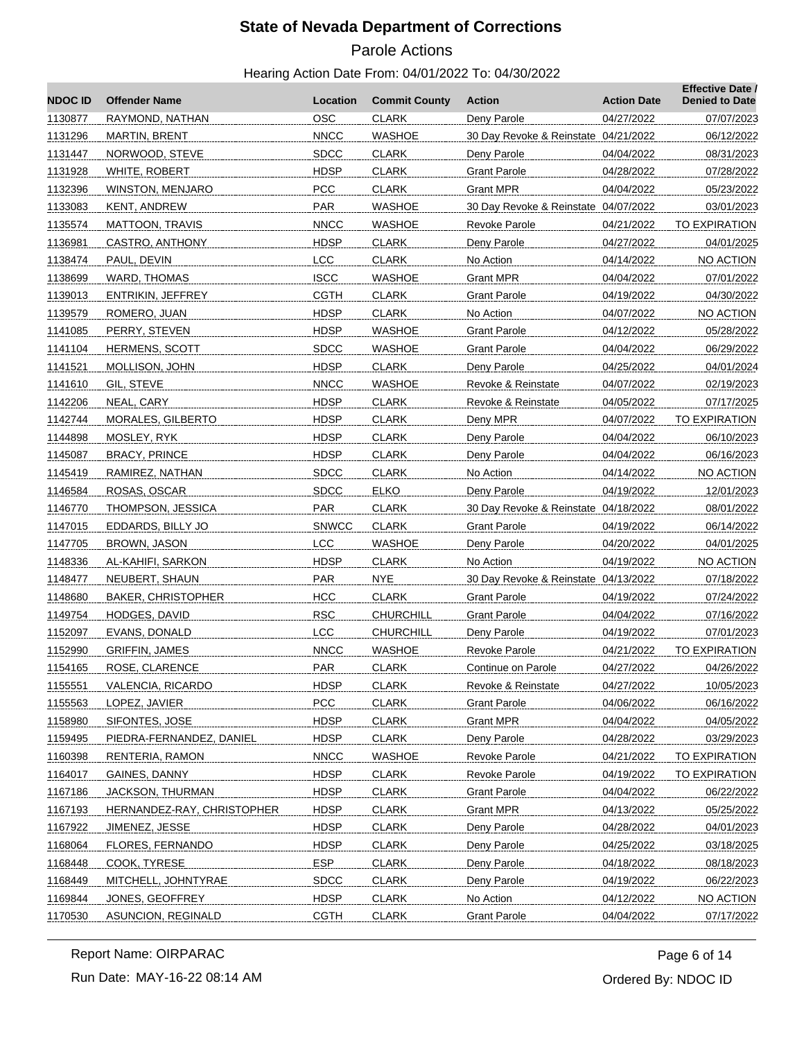# Parole Actions

#### Hearing Action Date From: 04/01/2022 To: 04/30/2022

| <b>NDOC ID</b> | <b>Offender Name</b>       | Location     | <b>Commit County</b> | Action                               | <b>Action Date</b> | <b>Effective Date /</b><br><b>Denied to Date</b> |
|----------------|----------------------------|--------------|----------------------|--------------------------------------|--------------------|--------------------------------------------------|
| 1130877        | RAYMOND, NATHAN            | <b>OSC</b>   | <b>CLARK</b>         | Deny Parole                          | 04/27/2022         | 07/07/2023                                       |
| 1131296        | MARTIN, BRENT              | <b>NNCC</b>  | <b>WASHOE</b>        | 30 Day Revoke & Reinstate 04/21/2022 |                    | 06/12/2022                                       |
| 1131447        | NORWOOD, STEVE             | <b>SDCC</b>  | <b>CLARK</b>         | Deny Parole                          | 04/04/2022         | 08/31/2023                                       |
| 1131928        | WHITE, ROBERT              | <b>HDSP</b>  | <b>CLARK</b>         | Grant Parole                         | 04/28/2022         | 07/28/2022                                       |
| 1132396        | <b>WINSTON, MENJARO</b>    | <b>PCC</b>   | <b>CLARK</b>         | Grant MPR                            | 04/04/2022         | 05/23/2022                                       |
| 1133083        | KENT, ANDREW               | PAR          | <b>WASHOE</b>        | 30 Day Revoke & Reinstate 04/07/2022 |                    | 03/01/2023                                       |
| 1135574        | MATTOON, TRAVIS            | <b>NNCC</b>  | <b>WASHOE</b>        | Revoke Parole                        | 04/21/2022         | <b>TO EXPIRATION</b>                             |
| 1136981        | CASTRO, ANTHONY            | <b>HDSP</b>  | <b>CLARK</b>         | Deny Parole                          | 04/27/2022         | 04/01/2025                                       |
| 1138474        | PAUL, DEVIN                | LCC          | <b>CLARK</b>         | No Action                            | 04/14/2022         | NO ACTION                                        |
| 1138699        | <b>WARD, THOMAS</b>        | <b>ISCC</b>  | <b>WASHOE</b>        | <b>Grant MPR</b>                     | 04/04/2022         | 07/01/2022                                       |
| 1139013        | ENTRIKIN, JEFFREY          | <b>CGTH</b>  | <b>CLARK</b>         | Grant Parole                         | 04/19/2022         | 04/30/2022                                       |
| 1139579        | ROMERO, JUAN               | <b>HDSP</b>  | <b>CLARK</b>         | No Action                            | 04/07/2022         | NO ACTION                                        |
| 1141085        | PERRY, STEVEN              | <b>HDSP</b>  | <b>WASHOE</b>        | <b>Grant Parole</b>                  | 04/12/2022         | 05/28/2022                                       |
| 1141104        | <b>HERMENS, SCOTT</b>      | <b>SDCC</b>  | <b>WASHOE</b>        | <b>Grant Parole</b>                  | 04/04/2022         | 06/29/2022                                       |
| 1141521        | MOLLISON, JOHN             | <b>HDSP</b>  | <b>CLARK</b>         | Deny Parole                          | 04/25/2022         | 04/01/2024                                       |
| 1141610        | GIL, STEVE                 | <b>NNCC</b>  | <b>WASHOE</b>        | Revoke & Reinstate                   | 04/07/2022         | 02/19/2023                                       |
| 1142206        | NEAL, CARY                 | <b>HDSP</b>  | <b>CLARK</b>         | Revoke & Reinstate                   | 04/05/2022         | 07/17/2025                                       |
| 1142744        | MORALES, GILBERTO          | <b>HDSP</b>  | <b>CLARK</b>         | Deny MPR                             | 04/07/2022         | TO EXPIRATION                                    |
| 1144898        | MOSLEY, RYK                | <b>HDSP</b>  | <b>CLARK</b>         | Deny Parole                          | 04/04/2022         | 06/10/2023                                       |
| 1145087        | <b>BRACY, PRINCE</b>       | <b>HDSP</b>  | <b>CLARK</b>         | Deny Parole                          | 04/04/2022         | 06/16/2023                                       |
| 1145419        | RAMIREZ, NATHAN            | <b>SDCC</b>  | <b>CLARK</b>         | No Action                            | 04/14/2022         | NO ACTION                                        |
| 1146584        | ROSAS, OSCAR               | <b>SDCC</b>  | <b>ELKO</b>          | Deny Parole                          | 04/19/2022         | 12/01/2023                                       |
| 1146770        | THOMPSON, JESSICA          | <b>PAR</b>   | <b>CLARK</b>         | 30 Day Revoke & Reinstate 04/18/2022 |                    | 08/01/2022                                       |
| 1147015        | EDDARDS, BILLY JO          | <b>SNWCC</b> | <b>CLARK</b>         | <b>Grant Parole</b>                  | 04/19/2022         | 06/14/2022                                       |
| 1147705        | BROWN, JASON               | <b>LCC</b>   | <b>WASHOE</b>        | Deny Parole                          | 04/20/2022         | 04/01/2025                                       |
| 1148336        | AL-KAHIFI, SARKON          | <b>HDSP</b>  | <b>CLARK</b>         | No Action                            | 04/19/2022         | NO ACTION                                        |
| 1148477        | NEUBERT, SHAUN             | <b>PAR</b>   | <b>NYE</b>           | 30 Day Revoke & Reinstate 04/13/2022 |                    | 07/18/2022                                       |
| 1148680        | <b>BAKER, CHRISTOPHER</b>  | <b>HCC</b>   | <b>CLARK</b>         | Grant Parole                         | 04/19/2022         | 07/24/2022                                       |
| 1149754        | HODGES, DAVID              | <b>RSC</b>   | <b>CHURCHILL</b>     | <b>Grant Parole</b>                  | 04/04/2022         | 07/16/2022                                       |
| 1152097        | EVANS, DONALD              | <b>LCC</b>   | <b>CHURCHILL</b>     | Deny Parole                          | 04/19/2022         | 07/01/2023                                       |
| 1152990        | <b>GRIFFIN, JAMES</b>      | <b>NNCC</b>  | <b>WASHOE</b>        | Revoke Parole                        | 04/21/2022         | <b>TO EXPIRATION</b>                             |
| 1154165        | ROSE, CLARENCE             | <b>PAR</b>   | <b>CLARK</b>         | Continue on Parole                   | 04/27/2022         | 04/26/2022                                       |
| 1155551        | VALENCIA, RICARDO          | <b>HDSP</b>  | <b>CLARK</b>         | Revoke & Reinstate                   | 04/27/2022         | 10/05/2023                                       |
| 1155563        | LOPEZ, JAVIER              | <b>PCC</b>   | <b>CLARK</b>         | <b>Grant Parole</b>                  | 04/06/2022         | 06/16/2022                                       |
| 1158980        | SIFONTES, JOSE             | <b>HDSP</b>  | <b>CLARK</b>         | <b>Grant MPR</b>                     | 04/04/2022         | 04/05/2022                                       |
| 1159495        | PIEDRA-FERNANDEZ, DANIEL   | <b>HDSP</b>  | <b>CLARK</b>         | Deny Parole                          | 04/28/2022         | 03/29/2023                                       |
| 1160398        | RENTERIA, RAMON            | <b>NNCC</b>  | <b>WASHOE</b>        | Revoke Parole                        | 04/21/2022         | TO EXPIRATION                                    |
| 1164017        | GAINES, DANNY              | <b>HDSP</b>  | <b>CLARK</b>         | <b>Revoke Parole</b>                 | 04/19/2022         | TO EXPIRATION                                    |
| 1167186        | <b>JACKSON, THURMAN</b>    | <b>HDSP</b>  | <b>CLARK</b>         | Grant Parole                         | 04/04/2022         | 06/22/2022                                       |
| 1167193        | HERNANDEZ-RAY, CHRISTOPHER | <b>HDSP</b>  | <b>CLARK</b>         | <b>Grant MPR</b>                     | 04/13/2022         | 05/25/2022                                       |
| 1167922        | JIMENEZ, JESSE             | <b>HDSP</b>  | <b>CLARK</b>         | Deny Parole                          | 04/28/2022         | 04/01/2023                                       |
| 1168064        | FLORES, FERNANDO           | <b>HDSP</b>  | <b>CLARK</b>         | Deny Parole                          | 04/25/2022         | 03/18/2025                                       |
| 1168448        | COOK, TYRESE               | ESP.         | <b>CLARK</b>         | Deny Parole                          | 04/18/2022         | 08/18/2023                                       |
| 1168449        | MITCHELL, JOHNTYRAE        | <b>SDCC</b>  | <b>CLARK</b>         | Deny Parole                          | 04/19/2022         | 06/22/2023                                       |
| 1169844        | JONES, GEOFFREY            | <b>HDSP</b>  | <b>CLARK</b>         | No Action                            | 04/12/2022         | NO ACTION                                        |
| 1170530        | ASUNCION, REGINALD         | <b>CGTH</b>  | <b>CLARK</b>         | <b>Grant Parole</b>                  | 04/04/2022         | 07/17/2022                                       |

Report Name: OIRPARAC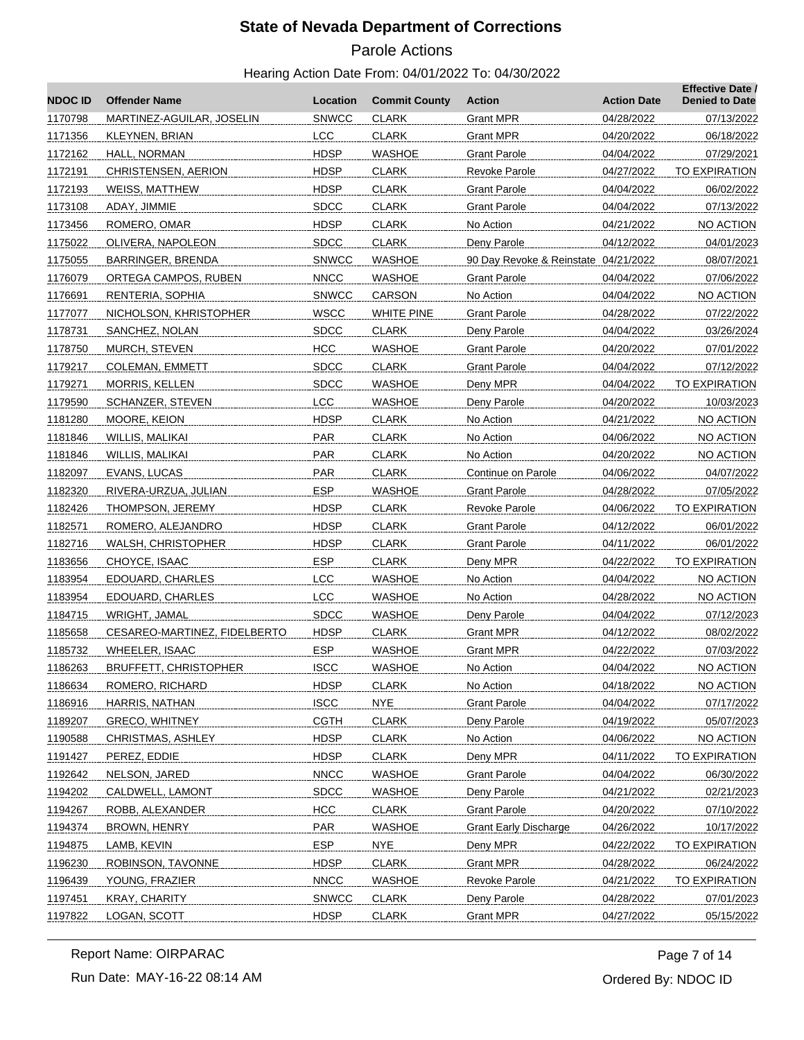# Parole Actions

#### Hearing Action Date From: 04/01/2022 To: 04/30/2022

| <b>NDOC ID</b> | <b>Offender Name</b>         | Location     | <b>Commit County</b> | Action                               | <b>Action Date</b> | <b>Effective Date /</b><br><b>Denied to Date</b> |
|----------------|------------------------------|--------------|----------------------|--------------------------------------|--------------------|--------------------------------------------------|
| 1170798        | MARTINEZ-AGUILAR, JOSELIN    | <b>SNWCC</b> | <b>CLARK</b>         | <b>Grant MPR</b>                     | 04/28/2022         | 07/13/2022                                       |
| 1171356        | KLEYNEN, BRIAN               | <b>LCC</b>   | <b>CLARK</b>         | Grant MPR                            | 04/20/2022         | 06/18/2022                                       |
| 1172162        | HALL, NORMAN                 | <b>HDSP</b>  | WASHOE               | Grant Parole                         | 04/04/2022         | 07/29/2021                                       |
| 1172191        | <b>CHRISTENSEN, AERION</b>   | <b>HDSP</b>  | <b>CLARK</b>         | <b>Revoke Parole</b>                 | 04/27/2022         | TO EXPIRATION                                    |
| 1172193        | WEISS, MATTHEW               | <b>HDSP</b>  | <b>CLARK</b>         | Grant Parole                         | 04/04/2022         | 06/02/2022                                       |
| 1173108        | ADAY, JIMMIE                 | <b>SDCC</b>  | <b>CLARK</b>         | <b>Grant Parole</b>                  | 04/04/2022         | 07/13/2022                                       |
| 1173456        | ROMERO, OMAR                 | <b>HDSP</b>  | <b>CLARK</b>         | No Action                            | 04/21/2022         | NO ACTION                                        |
| 1175022        | OLIVERA, NAPOLEON            | <b>SDCC</b>  | <b>CLARK</b>         | Deny Parole                          | 04/12/2022         | 04/01/2023                                       |
| 1175055        | BARRINGER, BRENDA            | <b>SNWCC</b> | WASHOE               | 90 Day Revoke & Reinstate 04/21/2022 |                    | 08/07/2021                                       |
| 1176079        | ORTEGA CAMPOS, RUBEN         | <b>NNCC</b>  | WASHOE               | <b>Grant Parole</b>                  | 04/04/2022         | 07/06/2022                                       |
| 1176691        | RENTERIA, SOPHIA             | <b>SNWCC</b> | CARSON               | No Action                            | 04/04/2022         | NO ACTION                                        |
| 1177077        | NICHOLSON, KHRISTOPHER       | <b>WSCC</b>  | <b>WHITE PINE</b>    | Grant Parole                         | 04/28/2022         | 07/22/2022                                       |
| 1178731        | SANCHEZ, NOLAN               | <b>SDCC</b>  | <b>CLARK</b>         | Deny Parole                          | 04/04/2022         | 03/26/2024                                       |
| 1178750        | MURCH, STEVEN                | <b>HCC</b>   | WASHOE               | <b>Grant Parole</b>                  | 04/20/2022         | 07/01/2022                                       |
| 1179217        | <b>COLEMAN, EMMETT</b>       | <b>SDCC</b>  | <b>CLARK</b>         | <b>Grant Parole</b>                  | 04/04/2022         | 07/12/2022                                       |
| 1179271        | MORRIS, KELLEN               | <b>SDCC</b>  | <b>WASHOE</b>        | Deny MPR                             | 04/04/2022         | TO EXPIRATION                                    |
| 1179590        | SCHANZER, STEVEN             | <b>LCC</b>   | WASHOE               | Deny Parole                          | 04/20/2022         | 10/03/2023                                       |
| 1181280        | MOORE, KEION                 | <b>HDSP</b>  | <b>CLARK</b>         | No Action                            | 04/21/2022         | <b>NO ACTION</b>                                 |
| 1181846        | WILLIS, MALIKAI              | <b>PAR</b>   | <b>CLARK</b>         | No Action                            | 04/06/2022         | NO ACTION                                        |
| 1181846        | WILLIS, MALIKAI              | PAR          | <b>CLARK</b>         | No Action                            | 04/20/2022         | NO ACTION                                        |
| 1182097        | EVANS, LUCAS                 | <b>PAR</b>   | <b>CLARK</b>         | Continue on Parole                   | 04/06/2022         | 04/07/2022                                       |
| 1182320        | RIVERA-URZUA, JULIAN         | <b>ESP</b>   | WASHOE               | Grant Parole                         | 04/28/2022         | 07/05/2022                                       |
| 1182426        | THOMPSON, JEREMY             | <b>HDSP</b>  | <b>CLARK</b>         | Revoke Parole                        | 04/06/2022         | TO EXPIRATION                                    |
| 1182571        | ROMERO, ALEJANDRO            | <b>HDSP</b>  | <b>CLARK</b>         | Grant Parole                         | 04/12/2022         | 06/01/2022                                       |
| 1182716        | WALSH, CHRISTOPHER           | <b>HDSP</b>  | <b>CLARK</b>         | Grant Parole                         | 04/11/2022         | 06/01/2022                                       |
| 1183656        | CHOYCE, ISAAC                | <b>ESP</b>   | <b>CLARK</b>         | Deny MPR                             | 04/22/2022         | TO EXPIRATION                                    |
| 1183954        | EDOUARD, CHARLES             | <b>LCC</b>   | WASHOE               | No Action                            | 04/04/2022         | NO ACTION                                        |
| 1183954        | EDOUARD, CHARLES             | <b>LCC</b>   | WASHOE               | No Action                            | 04/28/2022         | NO ACTION                                        |
| 1184715        | WRIGHT, JAMAL                | <b>SDCC</b>  | <b>WASHOE</b>        | Deny Parole                          | 04/04/2022         | 07/12/2023                                       |
| 1185658        | CESAREO-MARTINEZ, FIDELBERTO | <b>HDSP</b>  | <b>CLARK</b>         | Grant MPR                            | 04/12/2022         | 08/02/2022                                       |
| 1185732        | <b>WHEELER, ISAAC</b>        | <b>ESP</b>   | <b>WASHOE</b>        | Grant MPR                            | 04/22/2022         | 07/03/2022                                       |
| 1186263        | <b>BRUFFETT, CHRISTOPHER</b> | <b>ISCC</b>  | <b>WASHOE</b>        | No Action                            | 04/04/2022         | <b>NO ACTION</b>                                 |
| 1186634        | ROMERO, RICHARD              | <b>HDSP</b>  | <b>CLARK</b>         | No Action                            | 04/18/2022         | NO ACTION                                        |
| 1186916        | HARRIS, NATHAN               | <b>ISCC</b>  | <b>NYE</b>           | <b>Grant Parole</b>                  | 04/04/2022         | 07/17/2022                                       |
| 1189207        | <b>GRECO, WHITNEY</b>        | <b>CGTH</b>  | <b>CLARK</b>         | Deny Parole                          | 04/19/2022         | 05/07/2023                                       |
| 1190588        | CHRISTMAS, ASHLEY            | <b>HDSP</b>  | <b>CLARK</b>         | No Action                            | 04/06/2022         | NO ACTION                                        |
| 1191427        | PEREZ, EDDIE                 | <b>HDSP</b>  | <b>CLARK</b>         | Deny MPR                             | 04/11/2022         | <b>TO EXPIRATION</b>                             |
| 1192642        | NELSON, JARED                | <b>NNCC</b>  | <b>WASHOE</b>        | <b>Grant Parole</b>                  | 04/04/2022         | 06/30/2022                                       |
| 1194202        | <b>CALDWELL, LAMONT</b>      | <b>SDCC</b>  | <b>WASHOE</b>        | Deny Parole                          | 04/21/2022         | 02/21/2023                                       |
| 1194267        | ROBB, ALEXANDER              | <b>HCC</b>   | <b>CLARK</b>         | <b>Grant Parole</b>                  | 04/20/2022         | 07/10/2022                                       |
| 1194374        | BROWN, HENRY                 | <b>PAR</b>   | <b>WASHOE</b>        | <b>Grant Early Discharge</b>         | 04/26/2022         | 10/17/2022                                       |
| 1194875        | LAMB, KEVIN                  | <b>ESP</b>   | <b>NYE</b>           | Deny MPR                             | 04/22/2022         | TO EXPIRATION                                    |
| 1196230        | ROBINSON, TAVONNE            | <b>HDSP</b>  | <b>CLARK</b>         | <b>Grant MPR</b>                     | 04/28/2022         | 06/24/2022                                       |
| 1196439        | YOUNG, FRAZIER               | <b>NNCC</b>  | <b>WASHOE</b>        | Revoke Parole                        | 04/21/2022         | TO EXPIRATION                                    |
| 1197451        | <b>KRAY, CHARITY</b>         | <b>SNWCC</b> | <b>CLARK</b>         | Deny Parole                          | 04/28/2022         | 07/01/2023                                       |
|                |                              | <b>HDSP</b>  |                      |                                      |                    |                                                  |
| 1197822        | LOGAN, SCOTT                 |              | <b>CLARK</b>         | <b>Grant MPR</b>                     | 04/27/2022         | 05/15/2022                                       |

Run Date: MAY-16-22 08:14 AM Report Name: OIRPARAC

Ordered By: NDOC ID Page 7 of 14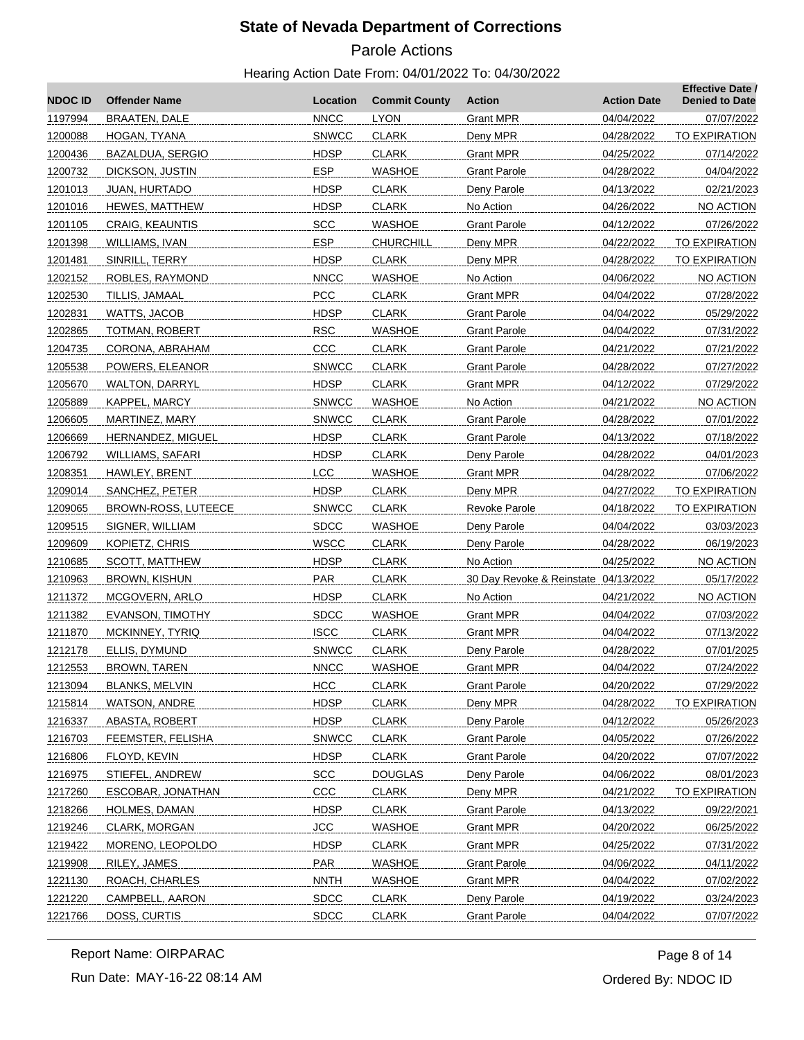# Parole Actions

Hearing Action Date From: 04/01/2022 To: 04/30/2022

| <b>NDOCID</b>      | <b>Offender Name</b>                   | Location                  | <b>Commit County</b>         | <b>Action</b>                        | <b>Action Date</b>       | <b>Effective Date /</b><br><b>Denied to Date</b> |
|--------------------|----------------------------------------|---------------------------|------------------------------|--------------------------------------|--------------------------|--------------------------------------------------|
| 1197994            | <b>BRAATEN, DALE</b>                   | <b>NNCC</b>               | <b>LYON</b>                  | <b>Grant MPR</b>                     | 04/04/2022               | 07/07/2022                                       |
| 1200088            | HOGAN, TYANA                           | <b>SNWCC</b>              | <b>CLARK</b>                 | Deny MPR                             | 04/28/2022               | TO EXPIRATION                                    |
| 1200436            | BAZALDUA, SERGIO                       | <b>HDSP</b>               | <b>CLARK</b>                 | <b>Grant MPR</b>                     | 04/25/2022               | 07/14/2022                                       |
| 1200732            | DICKSON, JUSTIN                        | <b>ESP</b>                | <b>WASHOE</b>                | <b>Grant Parole</b>                  | 04/28/2022               | 04/04/2022                                       |
| 1201013            | JUAN, HURTADO                          | <b>HDSP</b>               | <b>CLARK</b>                 | Deny Parole                          | 04/13/2022               | 02/21/2023                                       |
| 1201016            | <b>HEWES, MATTHEW</b>                  | <b>HDSP</b>               | <b>CLARK</b>                 | No Action                            | 04/26/2022               | NO ACTION                                        |
| 1201105            | CRAIG, KEAUNTIS                        | <b>SCC</b>                | <b>WASHOE</b>                | <b>Grant Parole</b>                  | 04/12/2022               | 07/26/2022                                       |
| 1201398            | WILLIAMS, IVAN                         | <b>ESP</b>                | <b>CHURCHILL</b>             | Deny MPR                             | 04/22/2022               | TO EXPIRATION                                    |
| 1201481            | SINRILL, TERRY                         | <b>HDSP</b>               | <b>CLARK</b>                 | Deny MPR                             | 04/28/2022               | TO EXPIRATION                                    |
| 1202152            | ROBLES, RAYMOND                        | <b>NNCC</b>               | <b>WASHOE</b>                | No Action                            | 04/06/2022               | NO ACTION                                        |
| 1202530            | TILLIS, JAMAAL                         | <b>PCC</b>                | <b>CLARK</b>                 | <b>Grant MPR</b>                     | 04/04/2022               | 07/28/2022                                       |
| 1202831            | WATTS, JACOB                           | <b>HDSP</b>               | <b>CLARK</b>                 | <b>Grant Parole</b>                  | 04/04/2022               | 05/29/2022                                       |
| 1202865            | TOTMAN, ROBERT                         | <b>RSC</b>                | <b>WASHOE</b>                | <b>Grant Parole</b>                  | 04/04/2022               | 07/31/2022                                       |
| 1204735            | CORONA, ABRAHAM                        | CCC                       | <b>CLARK</b>                 | <b>Grant Parole</b>                  | 04/21/2022               | 07/21/2022                                       |
| 1205538            | POWERS, ELEANOR                        | <b>SNWCC</b>              | <b>CLARK</b>                 | <b>Grant Parole</b>                  | 04/28/2022               | 07/27/2022                                       |
| 1205670            | <b>WALTON, DARRYL</b>                  | <b>HDSP</b>               | <b>CLARK</b>                 | <b>Grant MPR</b>                     | 04/12/2022               | 07/29/2022                                       |
| 1205889            | KAPPEL, MARCY                          | <b>SNWCC</b>              | <b>WASHOE</b>                | No Action                            | 04/21/2022               | NO ACTION                                        |
| 1206605            | MARTINEZ, MARY                         | <b>SNWCC</b>              | <b>CLARK</b>                 | <b>Grant Parole</b>                  | 04/28/2022               | 07/01/2022                                       |
| 1206669            | HERNANDEZ, MIGUEL                      | <b>HDSP</b>               | <b>CLARK</b>                 | <b>Grant Parole</b>                  | 04/13/2022               | 07/18/2022                                       |
| 1206792            | WILLIAMS, SAFARI                       | <b>HDSP</b>               | <b>CLARK</b>                 | Deny Parole                          | 04/28/2022               | 04/01/2023                                       |
| 1208351            | HAWLEY, BRENT                          | <b>LCC</b>                | <b>WASHOE</b>                | <b>Grant MPR</b>                     | 04/28/2022               | 07/06/2022                                       |
| 1209014            | SANCHEZ, PETER                         | <b>HDSP</b>               | <b>CLARK</b>                 | Deny MPR                             | 04/27/2022               | TO EXPIRATION                                    |
| 1209065            | BROWN-ROSS, LUTEECE                    | <b>SNWCC</b>              | <b>CLARK</b>                 | <b>Revoke Parole</b>                 | 04/18/2022               | TO EXPIRATION                                    |
| 1209515            | SIGNER, WILLIAM                        | <b>SDCC</b>               | <b>WASHOE</b>                | Deny Parole                          | 04/04/2022               | 03/03/2023                                       |
| 1209609            | KOPIETZ, CHRIS                         | <b>WSCC</b>               | <b>CLARK</b>                 | Deny Parole                          | 04/28/2022               | 06/19/2023                                       |
| 1210685            | SCOTT, MATTHEW                         | <b>HDSP</b>               | <b>CLARK</b>                 | No Action                            | 04/25/2022               | NO ACTION                                        |
| 1210963            | BROWN, KISHUN                          | PAR                       | <b>CLARK</b>                 | 30 Day Revoke & Reinstate 04/13/2022 |                          | 05/17/2022                                       |
| 1211372            | MCGOVERN, ARLO                         | <b>HDSP</b>               | <b>CLARK</b>                 | No Action                            | 04/21/2022               | NO ACTION                                        |
| 1211382            | <b>EVANSON, TIMOTHY</b>                | <b>SDCC</b>               | <b>WASHOE</b>                | <b>Grant MPR</b>                     | 04/04/2022               | 07/03/2022                                       |
| 1211870            | MCKINNEY, TYRIQ                        | <b>ISCC</b>               | <b>CLARK</b>                 | <b>Grant MPR</b>                     | 04/04/2022               | 07/13/2022                                       |
| 1212178            | ELLIS, DYMUND                          | <b>SNWCC</b>              | <b>CLARK</b>                 | Deny Parole                          | 04/28/2022               | 07/01/2025                                       |
| 1212553            | <b>BROWN, TAREN</b>                    | <b>NNCC</b>               | <b>WASHOE</b>                | <b>Grant MPR</b>                     | 04/04/2022               | 07/24/2022                                       |
| 1213094            | <b>BLANKS, MELVIN</b><br>WATSON, ANDRE | <b>HCC</b><br><b>HDSP</b> | <b>CLARK</b>                 | <b>Grant Parole</b>                  | 04/20/2022<br>04/28/2022 | 07/29/2022<br>TO EXPIRATION                      |
| 1215814<br>1216337 | ABASTA, ROBERT                         | <b>HDSP</b>               | <b>CLARK</b><br><b>CLARK</b> | Deny MPR<br>Deny Parole              | 04/12/2022               |                                                  |
| 1216703            | FEEMSTER, FELISHA                      | <b>SNWCC</b>              | <b>CLARK</b>                 | <b>Grant Parole</b>                  | 04/05/2022               | 05/26/2023<br>07/26/2022                         |
| 1216806            | FLOYD, KEVIN                           | <b>HDSP</b>               | <b>CLARK</b>                 | <b>Grant Parole</b>                  | 04/20/2022               | 07/07/2022                                       |
| 1216975            | STIEFEL, ANDREW                        | <b>SCC</b>                | <b>DOUGLAS</b>               | Deny Parole                          | 04/06/2022               | 08/01/2023                                       |
| 1217260            | ESCOBAR, JONATHAN                      | CCC                       | <b>CLARK</b>                 | Deny MPR                             | 04/21/2022               | TO EXPIRATION                                    |
| 1218266            | HOLMES, DAMAN                          | <b>HDSP</b>               | <b>CLARK</b>                 | <b>Grant Parole</b>                  | 04/13/2022               | 09/22/2021                                       |
| 1219246            | CLARK, MORGAN                          | <b>JCC</b>                | <b>WASHOE</b>                | <b>Grant MPR</b>                     | 04/20/2022               | 06/25/2022                                       |
| 1219422            | MORENO, LEOPOLDO                       | <b>HDSP</b>               | <b>CLARK</b>                 | <b>Grant MPR</b>                     | 04/25/2022               | 07/31/2022                                       |
| 1219908            | RILEY, JAMES                           | <b>PAR</b>                | <b>WASHOE</b>                | <b>Grant Parole</b>                  | 04/06/2022               | 04/11/2022                                       |
| 1221130            | ROACH, CHARLES                         | <b>NNTH</b>               | <b>WASHOE</b>                | <b>Grant MPR</b>                     | 04/04/2022               | 07/02/2022                                       |
| 1221220            | CAMPBELL, AARON                        | <b>SDCC</b>               | <b>CLARK</b>                 | Deny Parole                          | 04/19/2022               | 03/24/2023                                       |
| 1221766            | DOSS, CURTIS                           | <b>SDCC</b>               | <b>CLARK</b>                 | <b>Grant Parole</b>                  | 04/04/2022               | 07/07/2022                                       |
|                    |                                        |                           |                              |                                      |                          |                                                  |

Run Date: MAY-16-22 08:14 AM Report Name: OIRPARAC

Ordered By: NDOC ID Page 8 of 14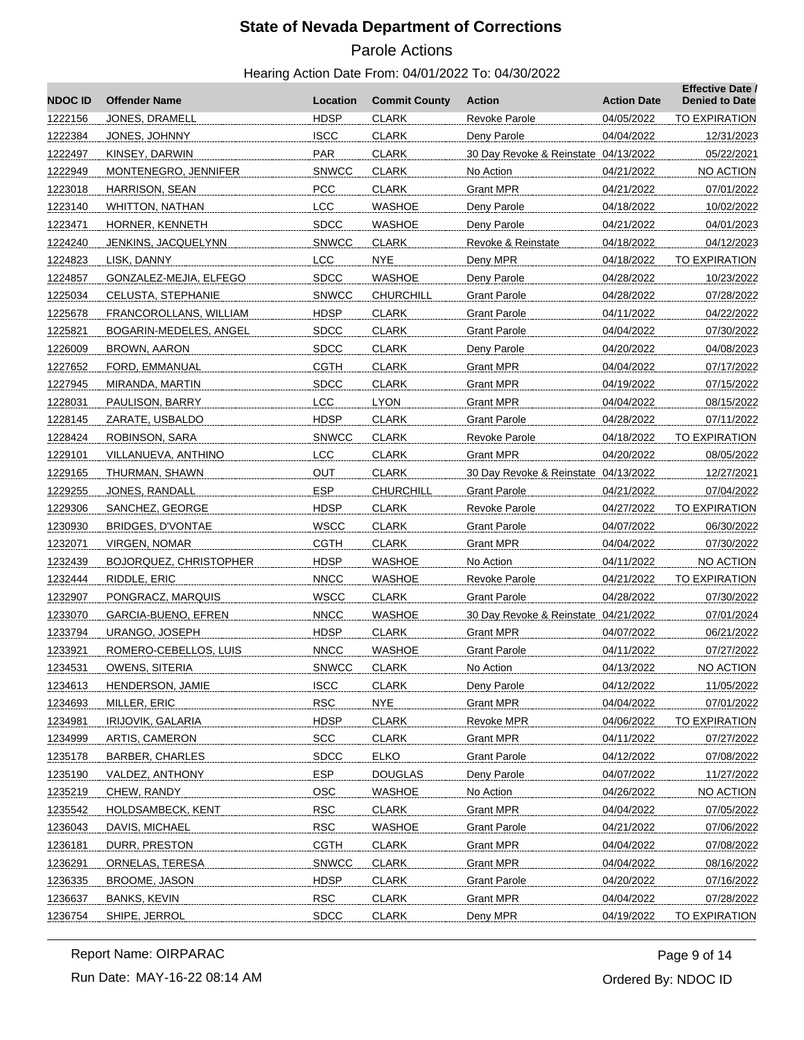# Parole Actions

#### Hearing Action Date From: 04/01/2022 To: 04/30/2022

| <b>NDOC ID</b> | <b>Offender Name</b>          | Location     | <b>Commit County</b> | <b>Action</b>                        | <b>Action Date</b> | <b>Effective Date /</b><br><b>Denied to Date</b> |
|----------------|-------------------------------|--------------|----------------------|--------------------------------------|--------------------|--------------------------------------------------|
| 1222156        | JONES, DRAMELL                | <b>HDSP</b>  | <b>CLARK</b>         | Revoke Parole                        | 04/05/2022         | <b>TO EXPIRATION</b>                             |
| 1222384        | JONES, JOHNNY                 | <b>ISCC</b>  | <b>CLARK</b>         | Deny Parole                          | 04/04/2022         | 12/31/2023                                       |
| 1222497        | KINSEY, DARWIN                | PAR          | <b>CLARK</b>         | 30 Day Revoke & Reinstate 04/13/2022 |                    | 05/22/2021                                       |
| 1222949        | MONTENEGRO, JENNIFER          | <b>SNWCC</b> | <b>CLARK</b>         | No Action                            | 04/21/2022         | NO ACTION                                        |
| 1223018        | HARRISON, SEAN                | <b>PCC</b>   | <b>CLARK</b>         | Grant MPR                            | 04/21/2022         | 07/01/2022                                       |
| 1223140        | WHITTON, NATHAN               | <b>LCC</b>   | WASHOE               | Deny Parole                          | 04/18/2022         | 10/02/2022                                       |
| 1223471        | HORNER, KENNETH               | <b>SDCC</b>  | WASHOE               | Deny Parole                          | 04/21/2022         | 04/01/2023                                       |
| 1224240        | JENKINS, JACQUELYNN           | <b>SNWCC</b> | <b>CLARK</b>         | Revoke & Reinstate                   | 04/18/2022         | 04/12/2023                                       |
| 1224823        | LISK, DANNY                   | <b>LCC</b>   | NYE.                 | Deny MPR                             | 04/18/2022         | <b>TO EXPIRATION</b>                             |
| 1224857        | GONZALEZ-MEJIA, ELFEGO        | <b>SDCC</b>  | <b>WASHOE</b>        | Deny Parole                          | 04/28/2022         | 10/23/2022                                       |
| 1225034        | CELUSTA, STEPHANIE            | <b>SNWCC</b> | CHURCHILL            | <b>Grant Parole</b>                  | 04/28/2022         | 07/28/2022                                       |
| 1225678        | FRANCOROLLANS, WILLIAM        | <b>HDSP</b>  | <b>CLARK</b>         | <b>Grant Parole</b>                  | 04/11/2022         | 04/22/2022                                       |
| 1225821        | BOGARIN-MEDELES, ANGEL        | <b>SDCC</b>  | <b>CLARK</b>         | <b>Grant Parole</b>                  | 04/04/2022         | 07/30/2022                                       |
| 1226009        | BROWN, AARON                  | <b>SDCC</b>  | <b>CLARK</b>         | Deny Parole                          | 04/20/2022         | 04/08/2023                                       |
| 1227652        | FORD, EMMANUAL                | CGTH         | <b>CLARK</b>         | <b>Grant MPR</b>                     | 04/04/2022         | 07/17/2022                                       |
| 1227945        | MIRANDA, MARTIN               | <b>SDCC</b>  | <b>CLARK</b>         | Grant MPR                            | 04/19/2022         | 07/15/2022                                       |
| 1228031        | PAULISON, BARRY               | <b>LCC</b>   | <b>LYON</b>          | Grant MPR                            | 04/04/2022         | 08/15/2022                                       |
| 1228145        | ZARATE, USBALDO               | <b>HDSP</b>  | <b>CLARK</b>         | <b>Grant Parole</b>                  | 04/28/2022         | 07/11/2022                                       |
| 1228424        | ROBINSON, SARA                | <b>SNWCC</b> | <b>CLARK</b>         | <b>Revoke Parole</b>                 | 04/18/2022         | TO EXPIRATION                                    |
| 1229101        | VILLANUEVA, ANTHINO           | <b>LCC</b>   | <b>CLARK</b>         | <b>Grant MPR</b>                     | 04/20/2022         | 08/05/2022                                       |
| 1229165        | THURMAN, SHAWN                | <b>OUT</b>   | <b>CLARK</b>         | 30 Day Revoke & Reinstate 04/13/2022 |                    | 12/27/2021                                       |
| 1229255        | JONES, RANDALL                | <b>ESP</b>   | <b>CHURCHILL</b>     | <b>Grant Parole</b>                  | 04/21/2022         | 07/04/2022                                       |
| 1229306        | SANCHEZ, GEORGE               | <b>HDSP</b>  | <b>CLARK</b>         | Revoke Parole                        | 04/27/2022         | TO EXPIRATION                                    |
| 1230930        | BRIDGES, D'VONTAE             | <b>WSCC</b>  | <b>CLARK</b>         | <b>Grant Parole</b>                  | 04/07/2022         | 06/30/2022                                       |
| 1232071        | VIRGEN, NOMAR                 | <b>CGTH</b>  | <b>CLARK</b>         | Grant MPR                            | 04/04/2022         | 07/30/2022                                       |
| 1232439        | <b>BOJORQUEZ, CHRISTOPHER</b> | <b>HDSP</b>  | <b>WASHOE</b>        | No Action                            | 04/11/2022         | NO ACTION                                        |
| 1232444        | RIDDLE, ERIC                  | <b>NNCC</b>  | WASHOE               | Revoke Parole                        | 04/21/2022         | TO EXPIRATION                                    |
| 1232907        | PONGRACZ, MARQUIS             | <b>WSCC</b>  | CLARK                | <b>Grant Parole</b>                  | 04/28/2022         | 07/30/2022                                       |
| 1233070        | GARCIA-BUENO, EFREN           | <b>NNCC</b>  | <b>WASHOE</b>        | 30 Day Revoke & Reinstate 04/21/2022 |                    | 07/01/2024                                       |
| 1233794        | URANGO, JOSEPH                | <b>HDSP</b>  | <b>CLARK</b>         | Grant MPR                            | 04/07/2022         | 06/21/2022                                       |
| 1233921        | ROMERO-CEBELLOS, LUIS         | <b>NNCC</b>  | <b>WASHOE</b>        | <b>Grant Parole</b>                  | 04/11/2022         | 07/27/2022                                       |
| 1234531        | OWENS, SITERIA                | <b>SNWCC</b> | <b>CLARK</b>         | No Action                            | 04/13/2022         | NO ACTION                                        |
| 1234613        | HENDERSON, JAMIE              | <b>ISCC</b>  | <b>CLARK</b>         | Deny Parole                          | 04/12/2022         | 11/05/2022                                       |
| 1234693        | MILLER, ERIC                  | <b>RSC</b>   | <b>NYE</b>           | <b>Grant MPR</b>                     | 04/04/2022         | 07/01/2022                                       |
| 1234981        | <b>IRIJOVIK, GALARIA</b>      | <b>HDSP</b>  | <b>CLARK</b>         | <b>Revoke MPR</b>                    | 04/06/2022         | <b>TO EXPIRATION</b>                             |
| 1234999        | ARTIS, CAMERON                | <b>SCC</b>   | <b>CLARK</b>         | <b>Grant MPR</b>                     | 04/11/2022         | 07/27/2022                                       |
| 1235178        | BARBER, CHARLES               | <b>SDCC</b>  | <b>ELKO</b>          | <b>Grant Parole</b>                  | 04/12/2022         | 07/08/2022                                       |
| 1235190        | VALDEZ, ANTHONY               | <b>ESP</b>   | <b>DOUGLAS</b>       | Deny Parole                          | 04/07/2022         | 11/27/2022                                       |
| 1235219        | CHEW, RANDY                   | OSC          | <b>WASHOE</b>        | No Action                            | 04/26/2022         | NO ACTION                                        |
| 1235542        | <b>HOLDSAMBECK, KENT</b>      | <b>RSC</b>   | <b>CLARK</b>         | <b>Grant MPR</b>                     | 04/04/2022         | 07/05/2022                                       |
| 1236043        | DAVIS, MICHAEL                | <b>RSC</b>   | <b>WASHOE</b>        | <b>Grant Parole</b>                  | 04/21/2022         | 07/06/2022                                       |
| 1236181        | DURR, PRESTON                 | <b>CGTH</b>  | <b>CLARK</b>         | <b>Grant MPR</b>                     | 04/04/2022         | 07/08/2022                                       |
| 1236291        | <b>ORNELAS, TERESA</b>        | <b>SNWCC</b> | <b>CLARK</b>         | <b>Grant MPR</b>                     | 04/04/2022         | 08/16/2022                                       |
| 1236335        | BROOME, JASON                 | <b>HDSP</b>  | <b>CLARK</b>         | <b>Grant Parole</b>                  | 04/20/2022         | 07/16/2022                                       |
| 1236637        | <b>BANKS, KEVIN</b>           | <b>RSC</b>   | <b>CLARK</b>         | <b>Grant MPR</b>                     | 04/04/2022         | 07/28/2022                                       |
| 1236754        | SHIPE, JERROL                 | <b>SDCC</b>  | <b>CLARK</b>         | Deny MPR                             | 04/19/2022         | <b>TO EXPIRATION</b>                             |
|                |                               |              |                      |                                      |                    |                                                  |

Report Name: OIRPARAC

Ordered By: NDOC ID Page 9 of 14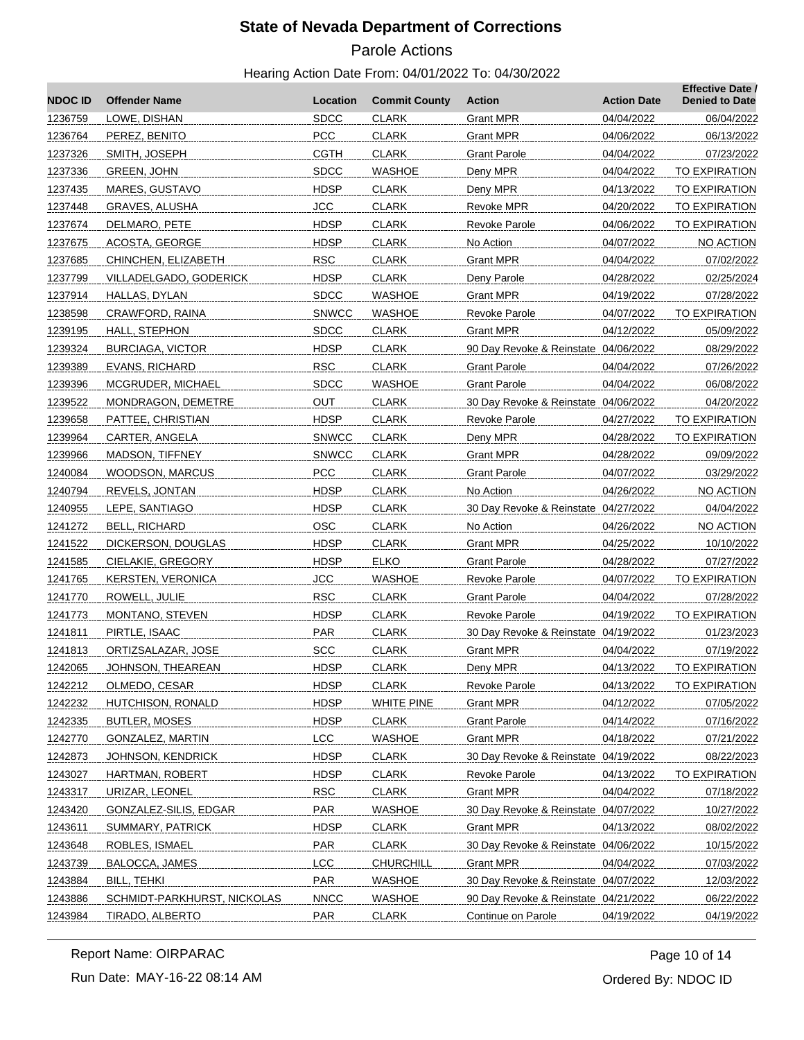# Parole Actions

#### Hearing Action Date From: 04/01/2022 To: 04/30/2022

| <b>NDOC ID</b> | <b>Offender Name</b>        | Location     | <b>Commit County</b> | <b>Action</b>                        | <b>Action Date</b> | <b>Effective Date /</b><br><b>Denied to Date</b> |
|----------------|-----------------------------|--------------|----------------------|--------------------------------------|--------------------|--------------------------------------------------|
| 1236759        | LOWE, DISHAN                | <b>SDCC</b>  | <b>CLARK</b>         | <b>Grant MPR</b>                     | 04/04/2022         | 06/04/2022                                       |
| 1236764        | PEREZ, BENITO               | <b>PCC</b>   | <b>CLARK</b>         | <b>Grant MPR</b>                     | 04/06/2022         | 06/13/2022                                       |
| 1237326        | SMITH, JOSEPH               | <b>CGTH</b>  | <b>CLARK</b>         | <b>Grant Parole</b>                  | 04/04/2022         | 07/23/2022                                       |
| 1237336        | GREEN, JOHN                 | <b>SDCC</b>  | WASHOE               | Deny MPR                             | 04/04/2022         | TO EXPIRATION                                    |
| 1237435        | MARES, GUSTAVO              | HDSP         | <b>CLARK</b>         | Deny MPR                             | 04/13/2022         | TO EXPIRATION                                    |
| 1237448        | <b>GRAVES, ALUSHA</b>       | <b>JCC</b>   | <b>CLARK</b>         | Revoke MPR                           | 04/20/2022         | TO EXPIRATION                                    |
| 1237674        | DELMARO, PETE               | <b>HDSP</b>  | <b>CLARK</b>         | <b>Revoke Parole</b>                 | 04/06/2022         | TO EXPIRATION                                    |
| 1237675        | ACOSTA, GEORGE              | <b>HDSP</b>  | <b>CLARK</b>         | No Action                            | 04/07/2022         | NO ACTION                                        |
| 1237685        | CHINCHEN, ELIZABETH         | <b>RSC</b>   | <b>CLARK</b>         | Grant MPR                            | 04/04/2022         | 07/02/2022                                       |
| 1237799        | VILLADELGADO, GODERICK      | <b>HDSP</b>  | <b>CLARK</b>         | Deny Parole                          | 04/28/2022         | 02/25/2024                                       |
| 1237914        | HALLAS, DYLAN               | <b>SDCC</b>  | WASHOE               | <b>Grant MPR</b>                     | 04/19/2022         | 07/28/2022                                       |
| 1238598        | CRAWFORD, RAINA             | <b>SNWCC</b> | WASHOE               | Revoke Parole                        | 04/07/2022         | <b>TO EXPIRATION</b>                             |
| 1239195        | HALL, STEPHON               | <b>SDCC</b>  | <b>CLARK</b>         | Grant MPR                            | 04/12/2022         | 05/09/2022                                       |
| 1239324        | <b>BURCIAGA, VICTOR</b>     | <b>HDSP</b>  | <b>CLARK</b>         | 90 Day Revoke & Reinstate 04/06/2022 |                    | 08/29/2022                                       |
| 1239389        | <b>EVANS, RICHARD</b>       | <b>RSC</b>   | <b>CLARK</b>         | <b>Grant Parole</b>                  | 04/04/2022         | 07/26/2022                                       |
| 1239396        | MCGRUDER, MICHAEL           | <b>SDCC</b>  | WASHOE               | <b>Grant Parole</b>                  | 04/04/2022         | 06/08/2022                                       |
| 1239522        | MONDRAGON, DEMETRE          | <b>OUT</b>   | <b>CLARK</b>         | 30 Day Revoke & Reinstate 04/06/2022 |                    | 04/20/2022                                       |
| 1239658        | PATTEE, CHRISTIAN           | <b>HDSP</b>  | <b>CLARK</b>         | Revoke Parole                        | 04/27/2022         | TO EXPIRATION                                    |
| 1239964        | CARTER, ANGELA              | <b>SNWCC</b> | <b>CLARK</b>         | Deny MPR                             | 04/28/2022         | TO EXPIRATION                                    |
| 1239966        | MADSON, TIFFNEY             | <b>SNWCC</b> | <b>CLARK</b>         | <b>Grant MPR</b>                     | 04/28/2022         | 09/09/2022                                       |
| 1240084        | WOODSON, MARCUS             | PCC          | <b>CLARK</b>         | <b>Grant Parole</b>                  | 04/07/2022         | 03/29/2022                                       |
| 1240794        | REVELS, JONTAN              | <b>HDSP</b>  | <b>CLARK</b>         | No Action                            | 04/26/2022         | NO ACTION                                        |
| 1240955        | LEPE, SANTIAGO              | <b>HDSP</b>  | <b>CLARK</b>         | 30 Day Revoke & Reinstate 04/27/2022 |                    | 04/04/2022                                       |
| 1241272        | <b>BELL, RICHARD</b>        | <b>OSC</b>   | <b>CLARK</b>         | No Action                            | 04/26/2022         | NO ACTION                                        |
| 1241522        | DICKERSON, DOUGLAS          | <b>HDSP</b>  | <b>CLARK</b>         | Grant MPR                            | 04/25/2022         | 10/10/2022                                       |
| 1241585        | CIELAKIE, GREGORY           | <b>HDSP</b>  | <b>ELKO</b>          | <b>Grant Parole</b>                  | 04/28/2022         | 07/27/2022                                       |
| 1241765        | <b>KERSTEN, VERONICA</b>    | <b>JCC</b>   | WASHOE               | Revoke Parole                        | 04/07/2022         | TO EXPIRATION                                    |
| 1241770        | ROWELL, JULIE               | <b>RSC</b>   | <b>CLARK</b>         | <b>Grant Parole</b>                  | 04/04/2022         | 07/28/2022                                       |
| 1241773        | MONTANO, STEVEN             | <b>HDSP</b>  | <b>CLARK</b>         | Revoke Parole                        | 04/19/2022         | TO EXPIRATION                                    |
| 1241811        | PIRTLE, ISAAC               | PAR          | <b>CLARK</b>         | 30 Day Revoke & Reinstate 04/19/2022 |                    | 01/23/2023                                       |
| 1241813        | ORTIZSALAZAR, JOSE          | SCC          | <b>CLARK</b>         | Grant MPR                            | 04/04/2022         | 07/19/2022                                       |
| 1242065        | <b>JOHNSON, THEAREAN</b>    | <b>HDSP</b>  | <b>CLARK</b>         | Deny MPR                             | 04/13/2022         | <b>TO EXPIRATION</b>                             |
| 1242212        | OLMEDO, CESAR               | <b>HDSP</b>  | CLARK                | Revoke Parole                        | 04/13/2022         | TO EXPIRATION                                    |
| 1242232        | HUTCHISON, RONALD           | <b>HDSP</b>  | <b>WHITE PINE</b>    | <b>Grant MPR</b>                     | 04/12/2022         | 07/05/2022                                       |
| 1242335        | <b>BUTLER, MOSES</b>        | <b>HDSP</b>  | <b>CLARK</b>         | <b>Grant Parole</b>                  | 04/14/2022         | 07/16/2022                                       |
| 1242770        | GONZALEZ, MARTIN            | <b>LCC</b>   | WASHOE               | <b>Grant MPR</b>                     | 04/18/2022         | 07/21/2022                                       |
| 1242873        | JOHNSON, KENDRICK           | <b>HDSP</b>  | <b>CLARK</b>         | 30 Day Revoke & Reinstate 04/19/2022 |                    | 08/22/2023                                       |
| 1243027        | HARTMAN, ROBERT             | <b>HDSP</b>  | <b>CLARK</b>         | Revoke Parole                        | 04/13/2022         | TO EXPIRATION                                    |
| 1243317        | URIZAR, LEONEL              | <b>RSC</b>   | <b>CLARK</b>         | <b>Grant MPR</b>                     | 04/04/2022         | 07/18/2022                                       |
| 1243420        | GONZALEZ-SILIS, EDGAR       | PAR          | <b>WASHOE</b>        | 30 Day Revoke & Reinstate 04/07/2022 |                    | 10/27/2022                                       |
| 1243611        | SUMMARY, PATRICK            | <b>HDSP</b>  | <b>CLARK</b>         | Grant MPR                            | 04/13/2022         | 08/02/2022                                       |
| 1243648        | ROBLES, ISMAEL              | <b>PAR</b>   | <b>CLARK</b>         | 30 Day Revoke & Reinstate 04/06/2022 |                    | 10/15/2022                                       |
| 1243739        | BALOCCA, JAMES              | <b>LCC</b>   | <b>CHURCHILL</b>     | <b>Grant MPR</b>                     | 04/04/2022         | 07/03/2022                                       |
| 1243884        | BILL, TEHKI                 | <b>PAR</b>   | <b>WASHOE</b>        | 30 Day Revoke & Reinstate 04/07/2022 |                    | 12/03/2022                                       |
| 1243886        | SCHMIDT-PARKHURST, NICKOLAS | <b>NNCC</b>  | <b>WASHOE</b>        | 90 Day Revoke & Reinstate 04/21/2022 |                    | 06/22/2022                                       |
| 1243984        | TIRADO, ALBERTO             | PAR          | <b>CLARK</b>         | Continue on Parole                   | 04/19/2022         | 04/19/2022                                       |
|                |                             |              |                      |                                      |                    |                                                  |

Report Name: OIRPARAC

Run Date: MAY-16-22 08:14 AM

Ordered By: NDOC ID Page 10 of 14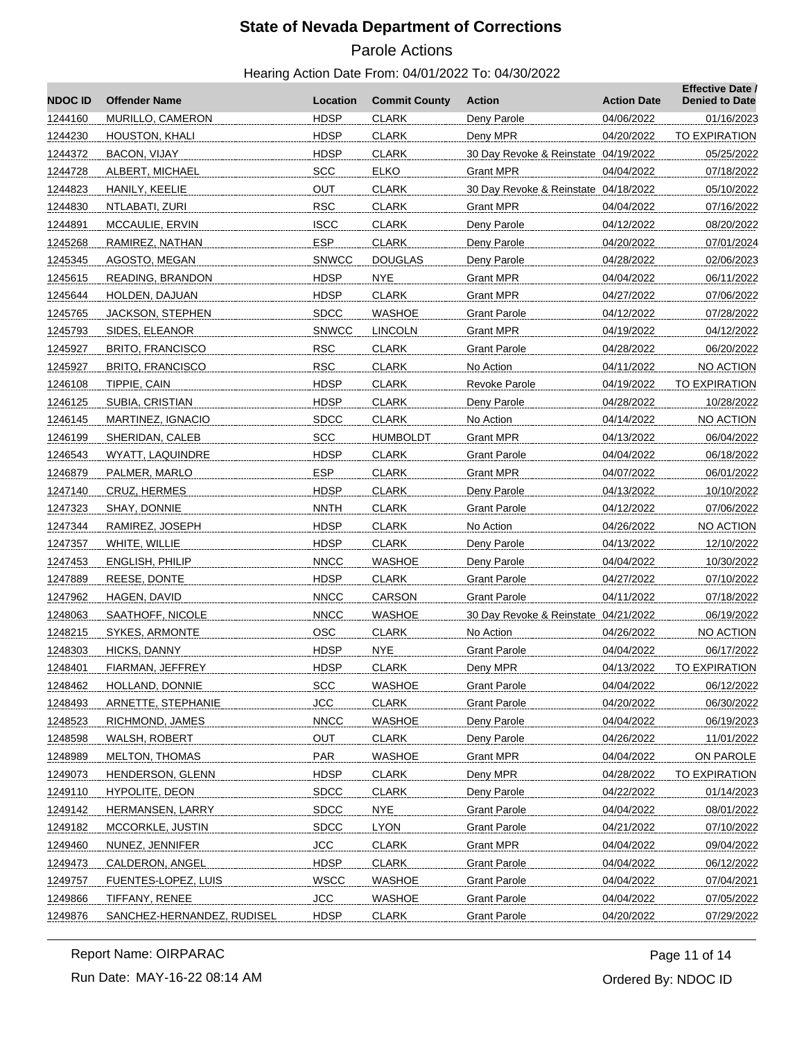# Parole Actions

#### Hearing Action Date From: 04/01/2022 To: 04/30/2022

| <b>NDOC ID</b> | <b>Offender Name</b>       | Location     | <b>Commit County</b> | Action                               | <b>Action Date</b> | <b>Effective Date /</b><br><b>Denied to Date</b> |
|----------------|----------------------------|--------------|----------------------|--------------------------------------|--------------------|--------------------------------------------------|
| 1244160        | MURILLO, CAMERON           | <b>HDSP</b>  | <b>CLARK</b>         | Deny Parole                          | 04/06/2022         | 01/16/2023                                       |
| 1244230        | HOUSTON, KHALI             | <b>HDSP</b>  | <b>CLARK</b>         | Deny MPR                             | 04/20/2022         | TO EXPIRATION                                    |
| 1244372        | BACON, VIJAY               | <b>HDSP</b>  | <b>CLARK</b>         | 30 Day Revoke & Reinstate 04/19/2022 |                    | 05/25/2022                                       |
| 1244728        | ALBERT, MICHAEL            | <b>SCC</b>   | <b>ELKO</b>          | Grant MPR                            | 04/04/2022         | 07/18/2022                                       |
| 1244823        | HANILY, KEELIE             | OUT          | <b>CLARK</b>         | 30 Day Revoke & Reinstate 04/18/2022 |                    | 05/10/2022                                       |
| 1244830        | NTLABATI, ZURI             | <b>RSC</b>   | <b>CLARK</b>         | Grant MPR                            | 04/04/2022         | 07/16/2022                                       |
| 1244891        | MCCAULIE, ERVIN            | <b>ISCC</b>  | <b>CLARK</b>         | Deny Parole                          | 04/12/2022         | 08/20/2022                                       |
| 1245268        | RAMIREZ, NATHAN            | <b>ESP</b>   | <b>CLARK</b>         | Deny Parole                          | 04/20/2022         | 07/01/2024                                       |
| 1245345        | AGOSTO, MEGAN              | <b>SNWCC</b> | <b>DOUGLAS</b>       | Deny Parole                          | 04/28/2022         | 02/06/2023                                       |
| 1245615        | READING, BRANDON           | <b>HDSP</b>  | <b>NYE</b>           | <b>Grant MPR</b>                     | 04/04/2022         | 06/11/2022                                       |
| 1245644        | HOLDEN, DAJUAN             | <b>HDSP</b>  | <b>CLARK</b>         | <b>Grant MPR</b>                     | 04/27/2022         | 07/06/2022                                       |
| 1245765        | <b>JACKSON, STEPHEN</b>    | <b>SDCC</b>  | <b>WASHOE</b>        | Grant Parole                         | 04/12/2022         | 07/28/2022                                       |
| 1245793        | SIDES, ELEANOR             | <b>SNWCC</b> | <b>LINCOLN</b>       | <b>Grant MPR</b>                     | 04/19/2022         | 04/12/2022                                       |
| 1245927        | <b>BRITO, FRANCISCO</b>    | <b>RSC</b>   | <b>CLARK</b>         | Grant Parole                         | 04/28/2022         | 06/20/2022                                       |
| 1245927        | <b>BRITO, FRANCISCO</b>    | <b>RSC</b>   | <b>CLARK</b>         | No Action                            | 04/11/2022         | NO ACTION                                        |
| 1246108        | TIPPIE, CAIN               | <b>HDSP</b>  | <b>CLARK</b>         | <b>Revoke Parole</b>                 | 04/19/2022         | <b>TO EXPIRATION</b>                             |
| 1246125        | SUBIA, CRISTIAN            | <b>HDSP</b>  | <b>CLARK</b>         | Deny Parole                          | 04/28/2022         | 10/28/2022                                       |
| 1246145        | MARTINEZ, IGNACIO          | <b>SDCC</b>  | <b>CLARK</b>         | No Action                            | 04/14/2022         | NO ACTION                                        |
| 1246199        | SHERIDAN, CALEB            | <b>SCC</b>   | <b>HUMBOLDT</b>      | <b>Grant MPR</b>                     | 04/13/2022         | 06/04/2022                                       |
| 1246543        | <b>WYATT, LAQUINDRE</b>    | <b>HDSP</b>  | <b>CLARK</b>         | Grant Parole                         | 04/04/2022         | 06/18/2022                                       |
| 1246879        | PALMER, MARLO              | <b>ESP</b>   | <b>CLARK</b>         | <b>Grant MPR</b>                     | 04/07/2022         | 06/01/2022                                       |
| 1247140        | CRUZ, HERMES               | <b>HDSP</b>  | <b>CLARK</b>         | Deny Parole                          | 04/13/2022         | 10/10/2022                                       |
| 1247323        | SHAY, DONNIE               | <b>NNTH</b>  | <b>CLARK</b>         | <b>Grant Parole</b>                  | 04/12/2022         | 07/06/2022                                       |
| 1247344        | RAMIREZ, JOSEPH            | <b>HDSP</b>  | <b>CLARK</b>         | No Action                            | 04/26/2022         | NO ACTION                                        |
| 1247357        | WHITE, WILLIE              | <b>HDSP</b>  | <b>CLARK</b>         | Deny Parole                          | 04/13/2022         | 12/10/2022                                       |
| 1247453        | <b>ENGLISH, PHILIP</b>     | <b>NNCC</b>  | <b>WASHOE</b>        | Deny Parole                          | 04/04/2022         | 10/30/2022                                       |
| 1247889        | REESE, DONTE               | <b>HDSP</b>  | <b>CLARK</b>         | <b>Grant Parole</b>                  | 04/27/2022         | 07/10/2022                                       |
| 1247962        | HAGEN, DAVID               | <b>NNCC</b>  | CARSON               | Grant Parole                         | 04/11/2022         | 07/18/2022                                       |
| 1248063        | SAATHOFF, NICOLE           | <b>NNCC</b>  | <b>WASHOE</b>        | 30 Day Revoke & Reinstate 04/21/2022 |                    | 06/19/2022                                       |
| 1248215        | SYKES, ARMONTE             | <b>OSC</b>   | <b>CLARK</b>         | No Action                            | 04/26/2022         | NO ACTION                                        |
| 1248303        | HICKS, DANNY               | <b>HDSP</b>  | <b>NYE</b>           | <b>Grant Parole</b>                  | 04/04/2022         | 06/17/2022                                       |
| 1248401        | FIARMAN, JEFFREY           | <b>HDSP</b>  | <b>CLARK</b>         | Deny MPR                             | 04/13/2022         | <b>TO EXPIRATION</b>                             |
| 1248462        | HOLLAND, DONNIE            | <b>SCC</b>   | <b>WASHOE</b>        | <b>Grant Parole</b>                  | 04/04/2022         | 06/12/2022                                       |
| 1248493        | ARNETTE, STEPHANIE         | <b>JCC</b>   | <b>CLARK</b>         | <b>Grant Parole</b>                  | 04/20/2022         | 06/30/2022                                       |
| 1248523        | RICHMOND, JAMES            | <b>NNCC</b>  | <b>WASHOE</b>        | Deny Parole                          | 04/04/2022         | 06/19/2023                                       |
| 1248598        | WALSH, ROBERT              | <b>OUT</b>   | <b>CLARK</b>         | Deny Parole                          | 04/26/2022         | 11/01/2022                                       |
| 1248989        | <b>MELTON, THOMAS</b>      | PAR          | <b>WASHOE</b>        | <b>Grant MPR</b>                     | 04/04/2022         | ON PAROLE                                        |
| 1249073        | HENDERSON, GLENN           | <b>HDSP</b>  | <b>CLARK</b>         | Deny MPR                             | 04/28/2022         | TO EXPIRATION                                    |
| 1249110        | HYPOLITE, DEON             | <b>SDCC</b>  | <b>CLARK</b>         | Deny Parole                          | 04/22/2022         | 01/14/2023                                       |
| 1249142        | HERMANSEN, LARRY           | <b>SDCC</b>  | NYE                  | <b>Grant Parole</b>                  | 04/04/2022         | 08/01/2022                                       |
| 1249182        | MCCORKLE, JUSTIN           | <b>SDCC</b>  | <b>LYON</b>          | <b>Grant Parole</b>                  | 04/21/2022         | 07/10/2022                                       |
| 1249460        | NUNEZ, JENNIFER            | <b>JCC</b>   | <b>CLARK</b>         | <b>Grant MPR</b>                     | 04/04/2022         | 09/04/2022                                       |
| 1249473        | CALDERON, ANGEL            | <b>HDSP</b>  | <b>CLARK</b>         | <b>Grant Parole</b>                  | 04/04/2022         | 06/12/2022                                       |
| 1249757        | FUENTES-LOPEZ, LUIS        | <b>WSCC</b>  | <b>WASHOE</b>        | <b>Grant Parole</b>                  | 04/04/2022         | 07/04/2021                                       |
| 1249866        | TIFFANY, RENEE             | <b>JCC</b>   | <b>WASHOE</b>        | <b>Grant Parole</b>                  | 04/04/2022         | 07/05/2022                                       |
| 1249876        | SANCHEZ-HERNANDEZ, RUDISEL | <b>HDSP</b>  | <b>CLARK</b>         | <b>Grant Parole</b>                  | 04/20/2022         | 07/29/2022                                       |
|                |                            |              |                      |                                      |                    |                                                  |

Report Name: OIRPARAC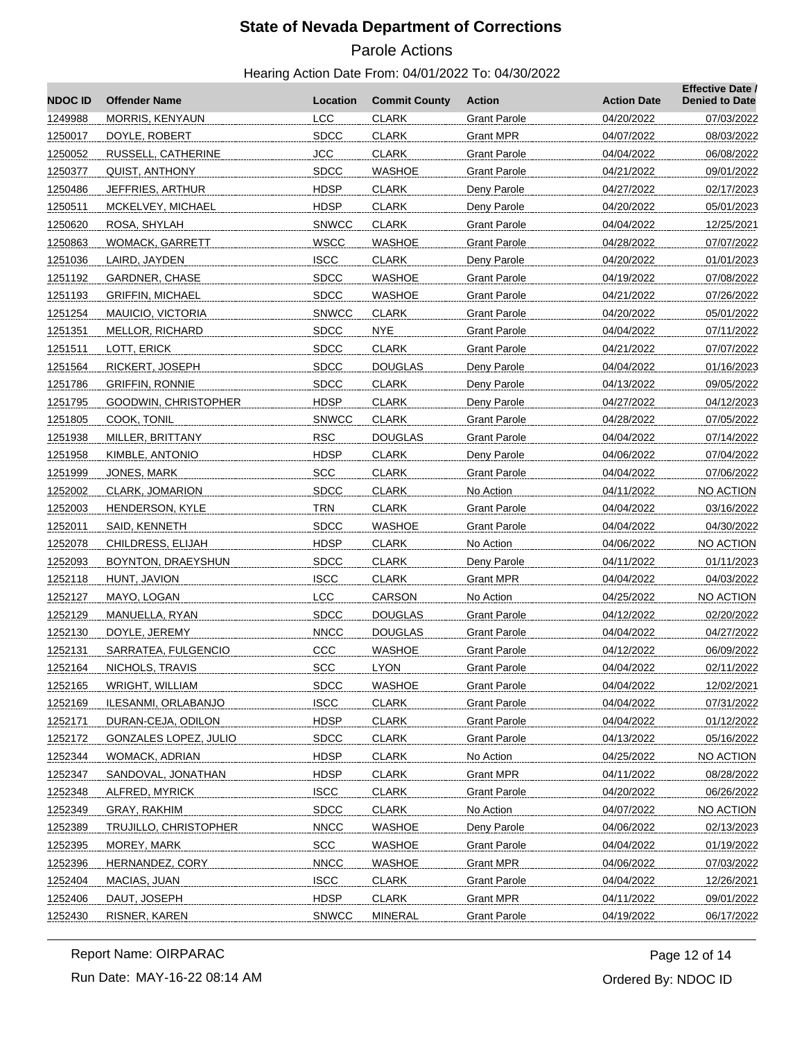# Parole Actions

#### Hearing Action Date From: 04/01/2022 To: 04/30/2022

| <b>NDOCID</b> | <b>Offender Name</b>         | Location     | <b>Commit County</b> | <b>Action</b>       | <b>Action Date</b> | <b>Effective Date /</b><br><b>Denied to Date</b> |
|---------------|------------------------------|--------------|----------------------|---------------------|--------------------|--------------------------------------------------|
| 1249988       | MORRIS, KENYAUN              | <b>LCC</b>   | <b>CLARK</b>         | <b>Grant Parole</b> | 04/20/2022         | 07/03/2022                                       |
| 1250017       | DOYLE, ROBERT                | <b>SDCC</b>  | <b>CLARK</b>         | Grant MPR           | 04/07/2022         | 08/03/2022                                       |
| 1250052       | RUSSELL, CATHERINE           | <b>JCC</b>   | <b>CLARK</b>         | Grant Parole        | 04/04/2022         | 06/08/2022                                       |
| 1250377       | QUIST, ANTHONY               | <b>SDCC</b>  | <b>WASHOE</b>        | <b>Grant Parole</b> | 04/21/2022         | 09/01/2022                                       |
| 1250486       | JEFFRIES, ARTHUR             | <b>HDSP</b>  | <b>CLARK</b>         | Deny Parole         | 04/27/2022         | 02/17/2023                                       |
| 1250511       | MCKELVEY, MICHAEL            | <b>HDSP</b>  | <b>CLARK</b>         | Deny Parole         | 04/20/2022         | 05/01/2023                                       |
| 1250620       | ROSA, SHYLAH                 | <b>SNWCC</b> | <b>CLARK</b>         | Grant Parole        | 04/04/2022         | 12/25/2021                                       |
| 1250863       | WOMACK, GARRETT              | <b>WSCC</b>  | <b>WASHOE</b>        | <b>Grant Parole</b> | 04/28/2022         | 07/07/2022                                       |
| 1251036       | LAIRD, JAYDEN                | <b>ISCC</b>  | <b>CLARK</b>         | Deny Parole         | 04/20/2022         | 01/01/2023                                       |
| 1251192       | GARDNER, CHASE               | <b>SDCC</b>  | <b>WASHOE</b>        | <b>Grant Parole</b> | 04/19/2022         | 07/08/2022                                       |
| 1251193       | <b>GRIFFIN, MICHAEL</b>      | <b>SDCC</b>  | <b>WASHOE</b>        | Grant Parole        | 04/21/2022         | 07/26/2022                                       |
| 1251254       | MAUICIO, VICTORIA            | <b>SNWCC</b> | <b>CLARK</b>         | <b>Grant Parole</b> | 04/20/2022         | 05/01/2022                                       |
| 1251351       | MELLOR, RICHARD              | <b>SDCC</b>  | <b>NYE</b>           | <b>Grant Parole</b> | 04/04/2022         | 07/11/2022                                       |
| 1251511       | LOTT, ERICK                  | <b>SDCC</b>  | <b>CLARK</b>         | <b>Grant Parole</b> | 04/21/2022         | 07/07/2022                                       |
| 1251564       | RICKERT, JOSEPH              | <b>SDCC</b>  | <b>DOUGLAS</b>       | Deny Parole         | 04/04/2022         | 01/16/2023                                       |
| 1251786       | <b>GRIFFIN, RONNIE</b>       | <b>SDCC</b>  | <b>CLARK</b>         | Deny Parole         | 04/13/2022         | 09/05/2022                                       |
| 1251795       | GOODWIN, CHRISTOPHER         | <b>HDSP</b>  | <b>CLARK</b>         | Deny Parole         | 04/27/2022         | 04/12/2023                                       |
| 1251805       | COOK, TONIL                  | <b>SNWCC</b> | <b>CLARK</b>         | <b>Grant Parole</b> | 04/28/2022         | 07/05/2022                                       |
| 1251938       | MILLER, BRITTANY             | <b>RSC</b>   | <b>DOUGLAS</b>       | <b>Grant Parole</b> | 04/04/2022         | 07/14/2022                                       |
| 1251958       | KIMBLE, ANTONIO              | <b>HDSP</b>  | <b>CLARK</b>         | Deny Parole         | 04/06/2022         | 07/04/2022                                       |
| 1251999       | JONES, MARK                  | <b>SCC</b>   | <b>CLARK</b>         | <b>Grant Parole</b> | 04/04/2022         | 07/06/2022                                       |
| 1252002       | CLARK, JOMARION              | <b>SDCC</b>  | <b>CLARK</b>         | No Action           | 04/11/2022         | NO ACTION                                        |
| 1252003       | HENDERSON, KYLE              | <b>TRN</b>   | <b>CLARK</b>         | Grant Parole        | 04/04/2022         | 03/16/2022                                       |
| 1252011       | SAID, KENNETH                | <b>SDCC</b>  | <b>WASHOE</b>        | <b>Grant Parole</b> | 04/04/2022         | 04/30/2022                                       |
| 1252078       | CHILDRESS, ELIJAH            | <b>HDSP</b>  | <b>CLARK</b>         | No Action           | 04/06/2022         | NO ACTION                                        |
| 1252093       | BOYNTON, DRAEYSHUN           | <b>SDCC</b>  | <b>CLARK</b>         | Deny Parole         | 04/11/2022         | 01/11/2023                                       |
| 1252118       | HUNT, JAVION                 | <b>ISCC</b>  | <b>CLARK</b>         | Grant MPR           | 04/04/2022         | 04/03/2022                                       |
| 1252127       | MAYO, LOGAN                  | <b>LCC</b>   | <b>CARSON</b>        | No Action           | 04/25/2022         | NO ACTION                                        |
| 1252129       | MANUELLA, RYAN               | <b>SDCC</b>  | <b>DOUGLAS</b>       | <b>Grant Parole</b> | 04/12/2022         | 02/20/2022                                       |
| 1252130       | DOYLE, JEREMY                | <b>NNCC</b>  | <b>DOUGLAS</b>       | <b>Grant Parole</b> | 04/04/2022         | 04/27/2022                                       |
| 1252131       | SARRATEA, FULGENCIO          | CCC          | <b>WASHOE</b>        | Grant Parole        | 04/12/2022         | 06/09/2022                                       |
| 1252164       | NICHOLS, TRAVIS              | <b>SCC</b>   | <b>LYON</b>          | <b>Grant Parole</b> | 04/04/2022         | 02/11/2022                                       |
| 1252165       | WRIGHT, WILLIAM              | <b>SDCC</b>  | <b>WASHOE</b>        | <b>Grant Parole</b> | 04/04/2022         | 12/02/2021                                       |
| 1252169       | ILESANMI, ORLABANJO          | <b>ISCC</b>  | <b>CLARK</b>         | <b>Grant Parole</b> | 04/04/2022         | 07/31/2022                                       |
| 1252171       | DURAN-CEJA, ODILON           | <b>HDSP</b>  | <b>CLARK</b>         | <b>Grant Parole</b> | 04/04/2022         | 01/12/2022                                       |
| 1252172       | <b>GONZALES LOPEZ, JULIO</b> | <b>SDCC</b>  | <b>CLARK</b>         | <b>Grant Parole</b> | 04/13/2022         | 05/16/2022                                       |
| 1252344       | WOMACK, ADRIAN               | <b>HDSP</b>  | <b>CLARK</b>         | No Action           | 04/25/2022         | <b>NO ACTION</b>                                 |
| 1252347       | SANDOVAL, JONATHAN           | <b>HDSP</b>  | <b>CLARK</b>         | <b>Grant MPR</b>    | 04/11/2022         | 08/28/2022                                       |
| 1252348       | ALFRED, MYRICK               | <b>ISCC</b>  | <b>CLARK</b>         | Grant Parole        | 04/20/2022         | 06/26/2022                                       |
| 1252349       | GRAY, RAKHIM                 | <b>SDCC</b>  | <b>CLARK</b>         | No Action           | 04/07/2022         | NO ACTION                                        |
| 1252389       | TRUJILLO, CHRISTOPHER        | <b>NNCC</b>  | <b>WASHOE</b>        | Deny Parole         | 04/06/2022         | 02/13/2023                                       |
| 1252395       | MOREY, MARK                  | <b>SCC</b>   | <b>WASHOE</b>        | <b>Grant Parole</b> | 04/04/2022         | 01/19/2022                                       |
| 1252396       | HERNANDEZ, CORY              | <b>NNCC</b>  | <b>WASHOE</b>        | <b>Grant MPR</b>    | 04/06/2022         | 07/03/2022                                       |
| 1252404       | MACIAS, JUAN                 | <b>ISCC</b>  | <b>CLARK</b>         | <b>Grant Parole</b> | 04/04/2022         | 12/26/2021                                       |
| 1252406       | DAUT, JOSEPH                 | <b>HDSP</b>  | <b>CLARK</b>         | <b>Grant MPR</b>    | 04/11/2022         | 09/01/2022                                       |
| 1252430       | RISNER, KAREN                | <b>SNWCC</b> | <b>MINERAL</b>       | <b>Grant Parole</b> | 04/19/2022         | 06/17/2022                                       |

Run Date: MAY-16-22 08:14 AM Report Name: OIRPARAC

Ordered By: NDOC ID Page 12 of 14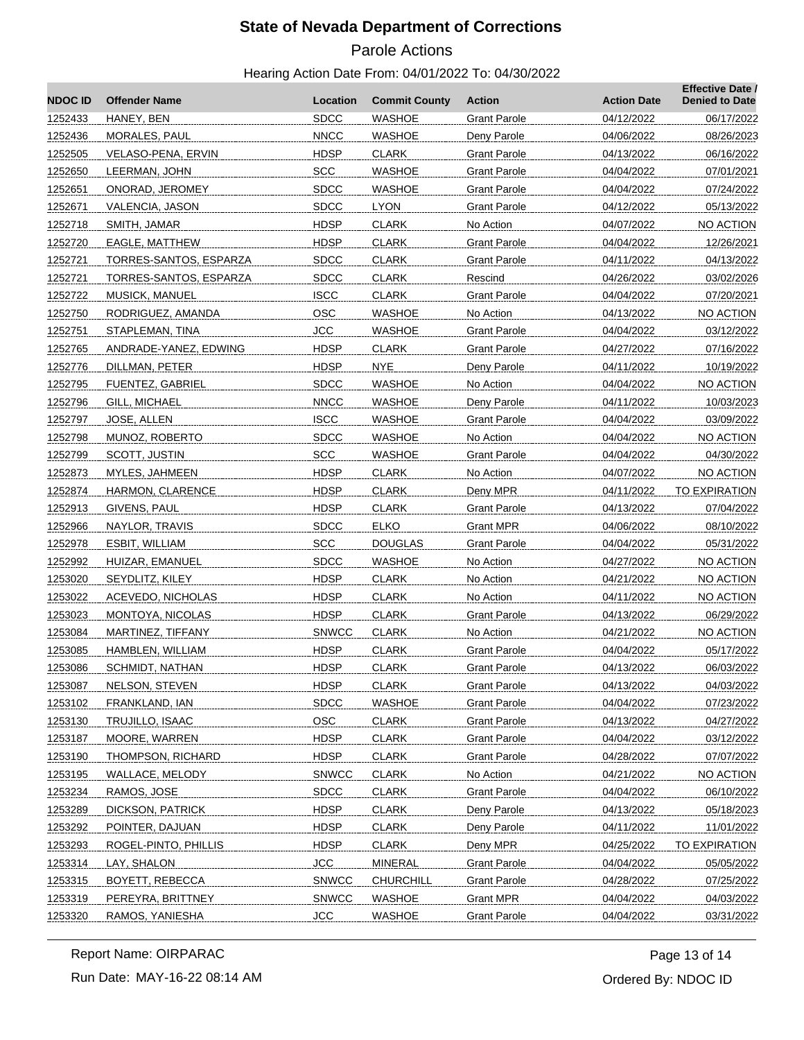# Parole Actions

#### Hearing Action Date From: 04/01/2022 To: 04/30/2022

| <b>NDOCID</b> | <b>Offender Name</b>     | Location     | <b>Commit County</b> | <b>Action</b>       | <b>Action Date</b> | <b>Effective Date /</b><br><b>Denied to Date</b> |
|---------------|--------------------------|--------------|----------------------|---------------------|--------------------|--------------------------------------------------|
| 1252433       | HANEY, BEN               | <b>SDCC</b>  | <b>WASHOE</b>        | <b>Grant Parole</b> | 04/12/2022         | 06/17/2022                                       |
| 1252436       | <b>MORALES, PAUL</b>     | <b>NNCC</b>  | <b>WASHOE</b>        | Deny Parole         | 04/06/2022         | 08/26/2023                                       |
| 1252505       | VELASO-PENA, ERVIN       | <b>HDSP</b>  | <b>CLARK</b>         | Grant Parole        | 04/13/2022         | 06/16/2022                                       |
| 1252650       | LEERMAN, JOHN            | <b>SCC</b>   | <b>WASHOE</b>        | <b>Grant Parole</b> | 04/04/2022         | 07/01/2021                                       |
| 1252651       | ONORAD, JEROMEY          | <b>SDCC</b>  | <b>WASHOE</b>        | <b>Grant Parole</b> | 04/04/2022         | 07/24/2022                                       |
| 1252671       | VALENCIA, JASON          | <b>SDCC</b>  | <b>LYON</b>          | <b>Grant Parole</b> | 04/12/2022         | 05/13/2022                                       |
| 1252718       | SMITH, JAMAR             | <b>HDSP</b>  | <b>CLARK</b>         | No Action           | 04/07/2022         | NO ACTION                                        |
| 1252720       | EAGLE, MATTHEW           | <b>HDSP</b>  | <b>CLARK</b>         | <b>Grant Parole</b> | 04/04/2022         | 12/26/2021                                       |
| 1252721       | TORRES-SANTOS, ESPARZA   | <b>SDCC</b>  | <b>CLARK</b>         | <b>Grant Parole</b> | 04/11/2022         | 04/13/2022                                       |
| 1252721       | TORRES-SANTOS, ESPARZA   | <b>SDCC</b>  | <b>CLARK</b>         | Rescind             | 04/26/2022         | 03/02/2026                                       |
| 1252722       | MUSICK, MANUEL           | <b>ISCC</b>  | <b>CLARK</b>         | Grant Parole        | 04/04/2022         | 07/20/2021                                       |
| 1252750       | RODRIGUEZ, AMANDA        | <b>OSC</b>   | <b>WASHOE</b>        | No Action           | 04/13/2022         | NO ACTION                                        |
| 1252751       | STAPLEMAN, TINA          | <b>JCC</b>   | <b>WASHOE</b>        | <b>Grant Parole</b> | 04/04/2022         | 03/12/2022                                       |
| 1252765       | ANDRADE-YANEZ, EDWING    | <b>HDSP</b>  | <b>CLARK</b>         | <b>Grant Parole</b> | 04/27/2022         | 07/16/2022                                       |
| 1252776       | DILLMAN, PETER           | <b>HDSP</b>  | <b>NYE</b>           | Deny Parole         | 04/11/2022         | 10/19/2022                                       |
| 1252795       | <b>FUENTEZ, GABRIEL</b>  | <b>SDCC</b>  | WASHOE               | No Action           | 04/04/2022         | <b>NO ACTION</b>                                 |
| 1252796       | GILL, MICHAEL            | <b>NNCC</b>  | <b>WASHOE</b>        | Deny Parole         | 04/11/2022         | 10/03/2023                                       |
| 1252797       | JOSE, ALLEN              | <b>ISCC</b>  | <b>WASHOE</b>        | <b>Grant Parole</b> | 04/04/2022         | 03/09/2022                                       |
| 1252798       | MUNOZ, ROBERTO           | <b>SDCC</b>  | <b>WASHOE</b>        | No Action           | 04/04/2022         | NO ACTION                                        |
| 1252799       | SCOTT, JUSTIN            | <b>SCC</b>   | <b>WASHOE</b>        | <b>Grant Parole</b> | 04/04/2022         | 04/30/2022                                       |
| 1252873       | MYLES, JAHMEEN           | <b>HDSP</b>  | <b>CLARK</b>         | No Action           | 04/07/2022         | NO ACTION                                        |
| 1252874       | HARMON, CLARENCE         | <b>HDSP</b>  | <b>CLARK</b>         | Deny MPR            | 04/11/2022         | TO EXPIRATION                                    |
| 1252913       | GIVENS, PAUL             | <b>HDSP</b>  | <b>CLARK</b>         | <b>Grant Parole</b> | 04/13/2022         | 07/04/2022                                       |
| 1252966       | NAYLOR, TRAVIS           | <b>SDCC</b>  | <b>ELKO</b>          | Grant MPR           | 04/06/2022         | 08/10/2022                                       |
| 1252978       | ESBIT, WILLIAM           | <b>SCC</b>   | <b>DOUGLAS</b>       | <b>Grant Parole</b> | 04/04/2022         | 05/31/2022                                       |
| 1252992       | HUIZAR, EMANUEL          | <b>SDCC</b>  | <b>WASHOE</b>        | No Action           | 04/27/2022         | NO ACTION                                        |
| 1253020       | SEYDLITZ, KILEY          | <b>HDSP</b>  | <b>CLARK</b>         | No Action           | 04/21/2022         | NO ACTION                                        |
| 1253022       | ACEVEDO, NICHOLAS        | <b>HDSP</b>  | <b>CLARK</b>         | No Action           | 04/11/2022         | NO ACTION                                        |
| 1253023       | MONTOYA, NICOLAS         | <b>HDSP</b>  | <b>CLARK</b>         | <b>Grant Parole</b> | 04/13/2022         | 06/29/2022                                       |
| 1253084       | <b>MARTINEZ, TIFFANY</b> | <b>SNWCC</b> | <b>CLARK</b>         | No Action           | 04/21/2022         | NO ACTION                                        |
| 1253085       | HAMBLEN, WILLIAM         | <b>HDSP</b>  | <b>CLARK</b>         | Grant Parole        | 04/04/2022         | 05/17/2022                                       |
| 1253086       | <b>SCHMIDT, NATHAN</b>   | <b>HDSP</b>  | CLARK                | <b>Grant Parole</b> | 04/13/2022         | 06/03/2022                                       |
| 1253087       | NELSON, STEVEN           | <b>HDSP</b>  | <b>CLARK</b>         | <b>Grant Parole</b> | 04/13/2022         | 04/03/2022                                       |
| 1253102       | FRANKLAND, IAN           | <b>SDCC</b>  | <b>WASHOE</b>        | <b>Grant Parole</b> | 04/04/2022         | 07/23/2022                                       |
| 1253130       | TRUJILLO, ISAAC          | OSC          | <b>CLARK</b>         | <b>Grant Parole</b> | 04/13/2022         | 04/27/2022                                       |
| 1253187       | MOORE, WARREN            | <b>HDSP</b>  | <b>CLARK</b>         | <b>Grant Parole</b> | 04/04/2022         | 03/12/2022                                       |
| 1253190       | THOMPSON, RICHARD        | <b>HDSP</b>  | <b>CLARK</b>         | <b>Grant Parole</b> | 04/28/2022         | 07/07/2022                                       |
| 1253195       | WALLACE, MELODY          | <b>SNWCC</b> | <b>CLARK</b>         | No Action           | 04/21/2022         | NO ACTION                                        |
| 1253234       | RAMOS, JOSE              | <b>SDCC</b>  | <b>CLARK</b>         | Grant Parole        | 04/04/2022         | 06/10/2022                                       |
| 1253289       | DICKSON, PATRICK         | <b>HDSP</b>  | <b>CLARK</b>         | Deny Parole         | 04/13/2022         | 05/18/2023                                       |
| 1253292       | POINTER, DAJUAN          | <b>HDSP</b>  | <b>CLARK</b>         | Deny Parole         | 04/11/2022         | 11/01/2022                                       |
| 1253293       | ROGEL-PINTO, PHILLIS     | <b>HDSP</b>  | <b>CLARK</b>         | Deny MPR            | 04/25/2022         | TO EXPIRATION                                    |
| 1253314       | LAY, SHALON              | <b>JCC</b>   | <b>MINERAL</b>       | Grant Parole        | 04/04/2022         | 05/05/2022                                       |
| 1253315       | BOYETT, REBECCA          | <b>SNWCC</b> | <b>CHURCHILL</b>     | <b>Grant Parole</b> | 04/28/2022         | 07/25/2022                                       |
| 1253319       | PEREYRA, BRITTNEY        | <b>SNWCC</b> | <b>WASHOE</b>        | <b>Grant MPR</b>    | 04/04/2022         | 04/03/2022                                       |
| 1253320       | RAMOS, YANIESHA          | <b>JCC</b>   | <b>WASHOE</b>        | <b>Grant Parole</b> | 04/04/2022         | 03/31/2022                                       |

Run Date: MAY-16-22 08:14 AM Report Name: OIRPARAC

Ordered By: NDOC ID Page 13 of 14